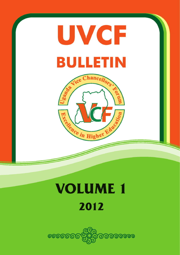

# **VOLUME 1** 2012

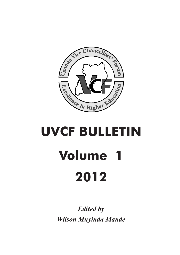

# **UVCF BULLETIN Volume 1 2012**

*Edited by Wilson Muyinda Mande*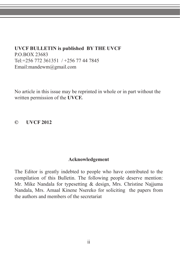# **UVCF BULLETIN is published BY THE UVCF** P.O.BOX 23683 Tel:+256 772 361351 / +256 77 44 7845 Email:mandewm@gmail.com

No article in this issue may be reprinted in whole or in part without the written permission of the **UVCF.**

**© UVCF 2012**

#### **Acknowledgement**

The Editor is greatly indebted to people who have contributed to the compilation of this Bulletin. The following people deserve mention: Mr. Mike Nandala for typesetting & design, Mrs. Christine Najjuma Nandala, Mrs. Amaal Kinene Nsereko for soliciting the papers from the authors and members of the secretariat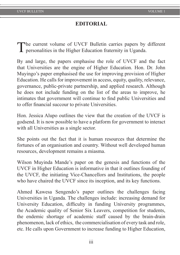# **EDITORIAL**

The current volume of UVCF Bulletin carries papers by different **L** personalities in the Higher Education fraternity in Uganda.

By and large, the papers emphasise the role of UVCF and the fact that Universities are the engine of Higher Education. Hon. Dr. John Muyingo's paper emphasised the use for improving provision of Higher Education. He calls for improvement in access, equity, quality, relevance, governance, public-private partnership, and applied research. Although he does not include funding on the list of the areas to improve, he intimates that government will continue to find public Universities and to offer financial succour to private Universities.

Hon. Jessica Alupo outlines the view that the creation of the UVCF is godsend. It is now possible to have a platform for government to interact with all Universities as a single sector.

She points out the fact that it is human resources that determine the fortunes of an organisation and country. Without well developed human resources, development remains a miasma.

Wilson Muyinda Mande's paper on the genesis and functions of the UVCF in Higher Education is informative in that it outlines founding of the UVCF, the initiating Vice-Chancellors and Institutions, the people who have chaired the UVCF since its inception, and its key functions.

Ahmed Kawesa Sengendo's paper outlines the challenges facing Universities in Uganda. The challenges include: increasing demand for University Education, difficulty in funding University programmes, the Academic quality of Senior Six Leavers, competition for students, the endemic shortage of academic staff caused by the brain-drain phenomenon, lack of ethics, the commercialisation of every task and role, etc. He calls upon Government to increase funding to Higher Education,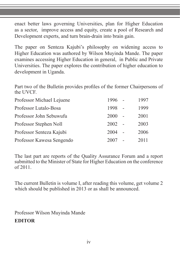enact better laws governing Universities, plan for Higher Education as a sector, improve access and equity, create a pool of Research and Development experts, and turn brain-drain into brain gain.

The paper on Senteza Kajubi's philosophy on widening access to Higher Education was authored by Wilson Muyinda Mande. The paper examines accessing Higher Education in general, in Public and Private Universities. The paper explores the contribution of higher education to development in Uganda.

Part two of the Bulletin provides profiles of the former Chairpersons of the UVCF.

| Professor Michael Lejuene | 1996 | 1997 |
|---------------------------|------|------|
| Professor Lutalo-Bosa     | 1998 | 1999 |
| Professor John Sebuwufu   | 2000 | 2001 |
| Professor Stephen Noll    | 2002 | 2003 |
| Professor Senteza Kajubi  | 2004 | 2006 |
| Professor Kawesa Sengendo | 2007 | 2011 |

The last part are reports of the Quality Assurance Forum and a report submitted to the Minister of State for Higher Education on the conference of 2011.

The current Bulletin is volume I, after reading this volume, get volume 2 which should be published in 2013 or as shall be announced.

Professor Wilson Muyinda Mande **EDITOR**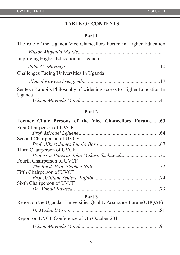# **TABLE OF CONTENTS**

# **Part 1**

| The role of the Uganda Vice Chancellors Forum in Higher Education               |  |
|---------------------------------------------------------------------------------|--|
|                                                                                 |  |
| Improving Higher Education in Uganda                                            |  |
|                                                                                 |  |
| Challenges Facing Universities In Uganda                                        |  |
|                                                                                 |  |
| Senteza Kajubi's Philosophy of widening access to Higher Education In<br>Uganda |  |
|                                                                                 |  |

# **Part 2**

| Former Chair Persons of the Vice Chancellors Forum 63 |  |
|-------------------------------------------------------|--|
| First Chairperson of UVCF                             |  |
|                                                       |  |
| Second Chairperson of UVCF                            |  |
|                                                       |  |
| Third Chairperson of UVCF                             |  |
|                                                       |  |
| Fourth Chairperson of UVCF                            |  |
|                                                       |  |
| Fifth Chairperson of UVCF                             |  |
|                                                       |  |
| Sixth Chairperson of UVCF                             |  |
|                                                       |  |
|                                                       |  |

# **Part 3**

| Report on the Ugandan Universities Quality Assurance Forum (UUQAF) |  |
|--------------------------------------------------------------------|--|
|                                                                    |  |
| Report on UVCF Conference of 7th October 2011                      |  |
|                                                                    |  |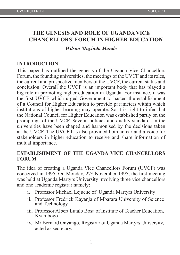# **THE GENESIS AND ROLE OF UGANDA VICE CHANCELLORS' FORUM IN HIGHER EDUCATION**

#### *Wilson Muyinda Mande*

#### **INTRODUCTION**

This paper has outlined the genesis of the Uganda Vice Chancellors Forum, the founding universities, the meetings of the UVCF and its roles, the current and prospective members of the UVCF, the current status and conclusion. Overall the UVCF is an important body that has played a big role in promoting higher education in Uganda. For instance, it was the first UVCF which urged Government to hasten the establishment of a Council for Higher Education to provide parameters within which institutions of higher learning may operate. So it is right to infer that the National Council for Higher Education was established partly on the promptings of the UVCF. Several policies and quality standards in the universities have been shaped and harmonised by the decisions taken at the UVCF. The UVCF has also provided both an ear and a voice for stakeholders in higher education to receive and share information of mutual importance.

#### **ESTABLISHMENT OF THE UGANDA VICE CHANCELLORS FORUM**

The idea of creating a Uganda Vice Chancellors Forum (UVCF) was conceived in 1995. On Monday,  $27<sup>th</sup>$  November 1995, the first meeting was held at Uganda Martyrs University involving three vice chancellors and one academic registrar namely:

- i. Professor Michael Lejuene of Uganda Martyrs University
- ii. Professor Fredrick Kayanja of Mbarara University of Science and Technology
- iii. Professor Albert Lutalo Bosa of Institute of Teacher Education, Kyambogo
- iv. Mr Bernard Onyango, Registrar of Uganda Martyrs University, acted as secretary.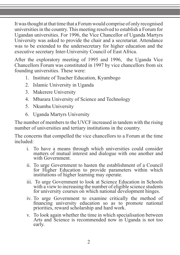It was thought at that time that a Forum would comprise of only recognised universities in the country. This meeting resolved to establish a Forum for Ugandan universities. For 1996, the Vice Chancellor of Uganda Martyrs University was asked to provide the chair and a secretariat. Attendance was to be extended to the undersecretary for higher education and the executive secretary Inter-University Council of East Africa.

After the exploratory meeting of 1995 and 1996, the Uganda Vice Chancellors Forum was constituted in 1997 by vice chancellors from six founding universities. These were:

- 1. Institute of Teacher Education, Kyambogo
- 2. Islamic University in Uganda
- 3. Makerere University
- 4. Mbarara University of Science and Technology
- 5. Nkumba University
- 6. Uganda Martyrs University

The number of members to the UVCF increased in tandem with the rising number of universities and tertiary institutions in the country.

The concerns that compelled the vice chancellors to a Forum at the time included:

- i. To have a means through which universities could consider matters of mutual interest and dialogue with one another and with Government.
- ii. To urge Government to hasten the establishment of a Council for Higher Education to provide parameters within which institutions of higher learning may operate.
- iii. To urge Government to look at Science Education in Schools with a view to increasing the number of eligible science students for university courses on which national development hinges.
- iv. To urge Government to examine critically the method of financing university education so as to promote national priorities, reward scholarship and hard work.
- v. To look again whether the time in which specialisation between Arts and Science is recommended now in Uganda is not too early.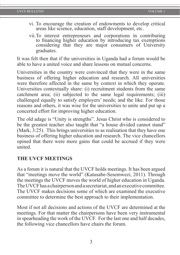- vi. To encourage the creation of endowments to develop critical areas like science, education, staff development, etc.
- vii.To interest entrepreneurs and corporations in contributing to financing higher education by introducing tax exemptions considering that they are major consumers of University graduates.

It was felt then that if the universities in Uganda had a forum would be able to have a united voice and share lessons on mutual concerns.

Universities in the country were convinced that they were in the same business of offering higher education and research. All universities were therefore affected in the same by context in which they operate. Universities contextually share: (i) recruitment students from the same catchment area; (ii) subjected to the same legal requirements; (iii) challenged equally to satisfy employers' needs; and the like. For those reasons and others, it was wise for the universities to unite and put up a concerted effort for improving higher education.

The old adage is "Unity is strengths". Jesus Christ who is considered to be the greatest teacher also taught that "a house divided cannot stand" (Mark, 3:25). This brings universities to as realisation that they have one business of offering higher education and research. The vice chancellors opined that there were more gains that could be accrued if they were united.

#### **THE UVCF MEETINGS**

As a forum it is natural that the UVCF holds meetings. It has been argued that "meetings move the world" (Katusabe-Sesemwezi, 2011). Through the meetings the UVCF moves the world of higher education in Uganda. The UVCF has a chairperson and a secretariat, and an executive committee. The UVCF makes decisions some of which are examined the executive committee to determine the best approach to their implementation.

Most if not all decisions and actions of the UVCF are determined at the meetings. For that matter the chairpersons have been very instrumental in spearheading the work of the UVCF. For the last one and half decades, the following vice chancellors have chairs the forum.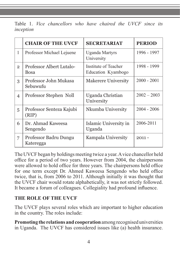Table 1. *Vice chancellors who have chaired the UVCF since its inception*

|                | <b>CHAIR OF THE UVCF</b>           | <b>SECRETARIAT</b>                         | <b>PERIOD</b> |
|----------------|------------------------------------|--------------------------------------------|---------------|
| 1              | Professor Michael Lejuene          | <b>Uganda Martyrs</b><br>University        | 1996 - 1997   |
| $\overline{2}$ | Professor Albert Lutalo-<br>Bosa   | Institute of Teacher<br>Education Kyambogo | 1998 - 1999   |
| 3              | Professor John Mukasa<br>Sebuwufu  | <b>Makerere University</b>                 | $2000 - 2001$ |
| 4              | Professor Stephen Noll             | Uganda Christian<br>University             | $2002 - 2003$ |
| 5              | Professor Senteza Kajubi<br>(RIP)  | Nkumba University                          | $2004 - 2006$ |
| 6              | Dr. Ahmad Kaweesa<br>Sengendo      | Islamic University in<br>Uganda            | 2006-2011     |
| 7              | Professor Badru Dungu<br>Kateregga | Kampala University                         | $2011 -$      |

The UVCF began by holdings meeting twice a year. A vice chancellor held office for a period of two years. However from 2004, the chairpersons were allowed to hold office for three years. The chairpersons held office for one term except Dr. Ahmed Kaweesa Sengendo who held office twice, that is, from 2006 to 2011. Although initially it was thought that the UVCF chair would rotate alphabetically, it was not strictly followed. It became a forum of colleagues. Collegiality had profound influence.

#### **THE ROLE OF THE UVCF**

The UVCF plays several roles which are important to higher education in the country. The roles include:

**Promoting the relations and cooperation** among recognised universities in Uganda. The UVCF has considered issues like (a) health insurance.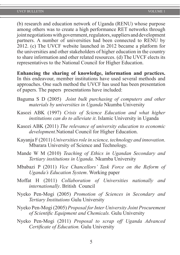(b) research and education network of Uganda (RENU) whose purpose among others was to create a high performance RET networks through joint negotiations with government, regulators, suppliers and development partners. A number of universities had been connected to RENU by 2012. (c) The UVCF website launched in 2012 became a platform for the universities and other stakeholders of higher education in the country to share information and other related resources. (d) The UVCF elects its representatives to the National Council for Higher Education.

**Enhancing the sharing of knowledge, information and practices.**  In this endeavour, member institutions have used several methods and approaches. One such method the UVCF has used has been presentation of papers. The papers presentations have included:

- Baguma S D (2005) *Joint bulk purchasing of computers and other materials by universities in Uganda* Nkumba University
- Kasozi ABK (1997) *Crisis of Science Education and what higher institutions can do to alleviate it*. Islamic University in Uganda
- Kasozi ABK (2011) *The relevance of university education to economic development.*National Council for Higher Education.
- Kayanja F (2011) *Universities role in science, technology and innovation*. Mbarara University of Science and Technology.
- Mande W M (2010) *Teaching of Ethics in Ugandan Secondary and Tertiary institutions in Uganda.* Nkumba University
- Mbabazi P (2011) *Vice Chancellors' Task Force on the Reform of Uganda's Education System*. Working paper
- Moffat H (2011) *Collaboration of Universities nationally and internationally*. British Council
- Nyeko Pen-Mogi (2005) *Promotion of Sciences in Secondary and Tertiary Institutions* Gulu University
- Nyeko Pen-Mogi (2005) *Proposal for Inter University Joint Procurement of Scientific Equipment and Chemicals.* Gulu University
- Nyeko Pen-Mogi (2011) *Proposal to scrap off Uganda Advanced Certificate of Education.* Gulu University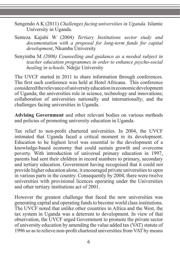- Sengendo A K (2011) *Challenges facing universities in Uganda.* Islamic University in Uganda.
- Senteza Kajubi W (2004) *Tertiary Institutions sector study and documentation with a proposal for long-term funds for capital development*, Nkumba University
- Senyimba M *(2006) Counselling and guidance as a needed subject in teacher education programmes in order to enhance psycho-social healing in schools*. Ndejje University

The UVCF started in 2011 to share information through conferences. The first such conference was held at Hotel Africana. This conference considered the relevance of university education in economic development of Uganda; the universities role in science, technology and innovations; collaboration of universities nationally and internationally; and the challenges facing universities in Uganda.

**Advising Government** and other relevant bodies on various methods and policies of promoting university education in Uganda.

Tax relief to non-profit chartered universities. In 2004, the UVCF intimated that Uganda faced a critical moment in its development. Education to he highest level was essential to the development of a knowledge-based economy that could sustain growth and overcome poverty. With introduction of universal primary education in 1997, parents had sent their children in record numbers to primary, secondary and tertiary education. Government having recognised that it could not provide higher education alone, it encouraged private universities to open in various parts in the country. Consequently by 2004, there were twelve universities with provisional licences operating under the Universities and other tertiary institutions act of 2001.

However the greatest challenge that faced the new universities was generating capital and operating funds to become world class institutions. The UVCF noted that unlike other countries in Africa and the West, the tax system in Uganda was a deterrent to development. In view of that observation, the UVCF urged Government to promote the private sector of university education by amending the value added tax (VAT) statute of 1996 so as to relieve non-profit chartered universities from VAT by means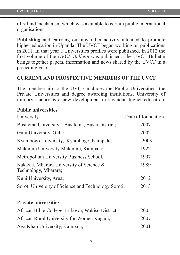of refund mechanism which was available to certain public international organisations.

**Publishing** and carrying out any other activity intended to promote higher education in Uganda. The UVCF began working on publications in 2011. In that year a Universities profiles were published. In 2012 the first volume of the *UVCF Bulletin* was published. The UVCF Bulletin brings together papers, information and news shared by the UVCF in a preceding year.

#### **CURRENT AND PROSPECTIVE MEMBERS OF THE UVCF**

The membership to the UVCF includes the Public Universities, the Private Universities and degree awarding institutions. University of military science is a new development in Ugandan higher education.

#### **Public universities**

| <b>University</b>                                               | Date of foundation |
|-----------------------------------------------------------------|--------------------|
| Busitema University, Busitema, Busia District;                  | 2007               |
| Gulu University, Gulu;                                          | 2002               |
| Kyambogo University, Kyambogo, Kampala;                         | 2003               |
| Makerere University Makerere, Kampala;                          | 1922               |
| Metropolitan University Business School,                        | 1997               |
| Nakawa, Mbarara University of Science &<br>Technology, Mbarara; | 1989               |
| Kuni University, Arua;                                          | 2012               |
| Soroti University of Science and Technology Soroti;             | 2013               |
| <b>Private universities</b>                                     |                    |
| African Bible College, Lubowa, Wakiso District;                 | 2005               |
| African Rural University for Women Kagadi,                      | 2007               |

Aga Khan University, Kampala; 2001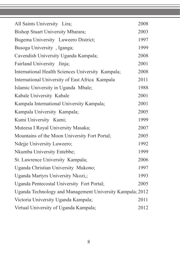| All Saints University Lira;                               | 2008 |
|-----------------------------------------------------------|------|
| Bishop Stuart University Mbarara;                         | 2003 |
| Bugema University Luweero District;                       | 1997 |
| Busoga University, Iganga;                                | 1999 |
| Cavendish University Uganda Kampala;                      | 2008 |
| Fairland University Jinja;                                | 2001 |
| International Health Sciences University Kampala;         | 2008 |
| International University of East Africa Kampala           | 2011 |
| Islamic University in Uganda Mbale;                       | 1988 |
| Kabale University Kabale                                  | 2001 |
| Kampala International University Kampala;                 | 2001 |
| Kampala University Kampala;                               | 2005 |
| Kumi University Kumi;                                     | 1999 |
| Muteesa I Royal University Masaka;                        | 2007 |
| Mountains of the Moon University Fort Portal;             | 2005 |
| Ndejje University Luweero;                                | 1992 |
| Nkumba University Entebbe;                                | 1999 |
| St. Lawrence University Kampala;                          | 2006 |
| Uganda Christian University Mukono;                       | 1997 |
| Uganda Martyrs University Nkozi,;                         | 1993 |
| Uganda Pentecostal University Fort Portal;                | 2005 |
| Uganda Technology and Management University Kampala; 2012 |      |
| Victoria University Uganda Kampala;                       | 2011 |
| Virtual University of Uganda Kampala;                     | 2012 |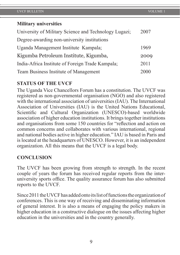#### **Military universities**

| University of Military Science and Technology Lugazi; | 2007 |
|-------------------------------------------------------|------|
| Degree-awarding non-university institutions           |      |
| Uganda Management Institute Kampala;                  | 1969 |
| Kigumba Petroleum Institute, Kigumba,                 | 2009 |
| India-Africa Institute of Foreign Trade Kampala;      | 2011 |
| Team Business Institute of Management                 | 2000 |

#### **STATUS OF THE UVCF**

The Uganda Vice Chancellors Forum has a constitution. The UVCF was registered as non-governmental organisation (NGO) and also registered with the international association of universities (IAU). The International Association of Universities (IAU) is the United Nations Educational, Scientific and Cultural Organization (UNESCO)-based worldwide association of higher education institutions. It brings together institutions and organisations from some 150 countries for "reflection and action on common concerns and collaborates with various international, regional and national bodies active in higher education." IAU is based in Paris and is located at the headquarters of UNESCO. However, it is an independent organization. All this means that the UVCF is a legal body.

#### **CONCLUSION**

The UVCF has been growing from strength to strength. In the recent couple of years the forum has received regular reports from the interuniversity sports office. The quality assurance forum has also submitted reports to the UVCF.

Since 2011 the UVCF has added onto its list of functions the organization of conferences. This is one way of receiving and disseminating information of general interest. It is also a means of engaging the policy makers in higher education in a constructive dialogue on the issues affecting higher education in the universities and in the country generally.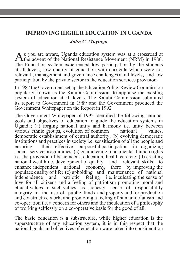# **IMPROVING HIGHER EDUCATION IN UGANDA**

#### *John C. Muyingo*

As you are aware, Uganda education system was at a crossroad at the advent of the National Resistance Movement (NRM) in 1986. The Education system experienced low participation by the students at all levels; low quality of education with curricula which were not relevant ; management and governance challenges at all levels; and low participation by the private sector in the education services provision.

In 1987 the Government set up the Education Policy Review Commission popularly known as the Kajubi Commission, to appraise the existing system of education at all levels. The Kajubi Commission submitted its report to Government in 1989 and the Government produced the Government Whitepaper on the Report in 1992

The Government Whitepaper of 1992 identified the following national goals and objectives of education to guide the education systems in Uganda; (a) forging national unity and harmony i.e. unity between various ethnic groups, evolution of common national values, democratic establishment of central authority; (b) evolving democratic institutions and practices in society i.e. sensitisation of all the people and ensuring their effective purposeful participation in organizing social service programmes; (c) guaranteeing fundamental human rights i.e. the provision of basic needs, education, health care etc; (d) creating national wealth i.e. development of quality and relevant skills to enhance independent national economy, there by improving the enhance independent national economy, populace quality of life; (e) upholding and maintenance of national independence and patriotic feeling i.e. inculcating the sense of love for all citizens and a feeling of patriotism promoting moral and ethical values i.e. such values as honesty, sense of responsibility integrity in the use of public funds and property and for production and constructive work; and promoting a feeling of humanitarianism and co-operation i.e. a concern for others and the inculcation of a philosophy of working selflessly on a co-operative basis for the good of all.

The basic education is a substructure, while higher education is the superstructure of any education system, it is in this respect that the national goals and objectives of education ware taken into consideration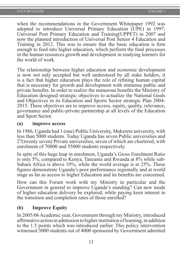when the recommendations in the Government Whitepaper 1992 was adopted to introduce Universal Primary Education (UPE) in 1997; Universal Post Primary Education and Training(UPPET) in 2007 and now the planned introduction of Universal Post Senior 4 Education and Training in 2012. This was to ensure that the basic education is firm enough to feed into higher education, which perform the final processes in the human resources growth and development in readying learners for the world of work.

The relationship between higher education and economic development is now not only accepted but well understood by all stake holders, it is a fact that higher education plays the role of refining human capital that is necessary for growth and development with immense public and private benefits. In order to realize the numerous benefits the Ministry of Education designed strategic objectives to actualize the National Goals and Objectives in its Education and Sports Sector strategic Plan 2004- 2015. These objectives are to improve access, equity, quality, relevance, governance and public-private partnership at all levels of the Education and Sport Sector.

#### **(a) improve access**

In 1986, Uganda had 1 (one) Public University, Makerere university, with less than 5000 students. Today Uganda has seven Public universities and 27(twenty seven) Private universities, seven of which are chartered, with enrolment of 70000 and 55000 students respectively.

In spite of this huge leap in enrolment, Uganda's Gross Enrolment Ratio is only 5%, compared to Kenya, Tanzania and Rwanda at 8% while sub-Sahara Africa is above 10%, while the world average is at 25%. These figures demonstrate Uganda's poor performance regionally and at world stage as far as access to higher Education and its benefits are concerned.

How can this Forum work with my Ministry in particular and the Government in general to improve Uganda's standing? Can new mode of higher education delivery be explored, while paying keen interest in the transition and completion rates of those enrolled?

#### **(b) Improve Equity**

In 2005/06 Academic year, Government through my Ministry, introduced affirmative action in admission to higher institution of learning, in addition to the 1.5 points which was introduced earlier. This policy intervention witnessed 3000 students out of 4000 sponsored by Government admitted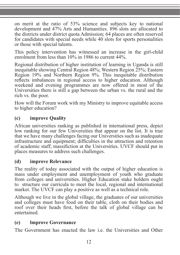on merit at the ratio of 53% science and subjects key to national development and 47% Arts and Humanities. 896 slots are allocated to the districts under district quota Admission; 64 places are often reserved for candidates with special needs while 40 slots for sports personalities or those with special talents.

This policy intervention has witnessed an increase in the girl-child enrolment from less than 10% in 1986 to current 44%.

Regional distribution of higher institution of learning in Uganda is still inequitable showing Central Region 48%; Western Region 25%; Eastern Region 19% and Northern Region 9%. This inequitable distribution reflects imbalances in regional access to higher education. Although weekend and evening programmes are now offered in most of the Universities there is still a gap between the urban vs. the rural and the rich vs. the poor.

How will the Forum work with my Ministry to improve equitable access to higher education?

# **(c) improve Quality**

African universities ranking as published in international press, depict low ranking for our few Universities that appear on the list. It is true that we have many challenges facing our Universities such as inadequate infrastructure and equipment; difficulties in the attraction and retention of academic staff; massifiction at the Universities. UVCF should put in places measures to address such challenges.

# **(d) improve Relevance**

The reality of today associated with the output of higher education is mass under employment and unemployment of youth who graduate from colleges and universities. Higher Education stake holders ought to structure our curricula to meet the local, regional and international market. The UVCF can play a positive as well as a technical role.

Although we live in the global village, the graduates of our universities and colleges must have food on their table, cloth on their bodies and roof over their heads first, before the talk of global village can be entertained.

# **(e) lmprove Governance**

The Government has enacted the law i.e. the Universities and Other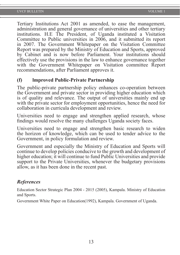Tertiary Institutions Act 2001 as amended, to ease the management, administration and general governance of universities and other tertiary institutions. H.E The President, of Uganda instituted a Visitation Committee to Public universities in 2006, and it submitted its report in 2007. The Government Whitepaper on the Visitation Committee Report was prepared by the Ministry of Education and Sports, approved by Cabinet and is now before Parliament. Your institutions should effectively use the provisions in the law to enhance governance together with the Government Whitepaper on Visitation committee Report recommendations, after Parliament approves it.

#### **(f) lmproved Public-Private Partnership**

The public-private partnership policy enhances co-operation between the Government and private sector in providing higher education which is of quality and relevance. The output of universities mainly end up with the private sector for employment opportunities, hence the need for collaboration in curricula development and review.

Universities need to engage and strengthen applied research, whose findings would resolve the many challenges Uganda society faces.

Universities need to engage and strengthen basic research to widen the horizon of knowledge, which can be used to tender advice to the Government, in policy formulation and review.

Government and especially the Ministry of Education and Sports will continue to develop policies conducive to the growth and development of higher education; it will continue to fund Public Universities and provide support to the Private Universities, whenever the budgetary provisions allow, as it has been done in the recent past.

#### *References*

Education Sector Strategic Plan 2004 - 2015 (2005), Kampala. Ministry of Education and Sports.

Government White Paper on Education(1992), Kampala. Government of Uganda.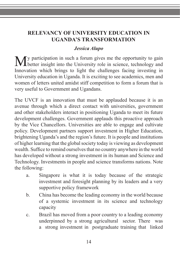# **RELEVANCY OF UNIVERSITY EDUCATION IN UGANDA'S TRANSFORMATION**

# *Jessica Alupo*

**My** participation in such a forum gives me the opportunity to gain **I** better insight into the University role in science, technology and Innovation which brings to light the challenges facing investing in University education in Uganda. It is exciting to see academics, men and women of letters united amidst stiff competition to form a forum that is very useful to Government and Ugandans.

The UVCF is an innovation that must be applauded because it is an avenue through which a direct contact with universities, government and other stakeholders interact in positioning Uganda to meet its future development challenges. Government applauds this proactive approach by the Vice Chancellors. Universities are able to engage and cultivate policy. Development partners support investment in Higher Education, brightening Uganda's and the region's future. It is people and institutions of higher learning that the global society today is viewing as development wealth. Suffice to remind ourselves that no country anywhere in the world has developed without a strong investment in its human and Science and Technology. Investments in people and science transforms nations. Note the following:

- a. Singapore is what it is today because of the strategic investment and foresight planning by its leaders and a very supportive policy framework
- b. China has become the leading economy in the world because of a systemic investment in its science and technology capacity
- c. Brazil has moved from a poor country to a leading economy underpinned by a strong agricultural sector. There was a strong investment in postgraduate training that linked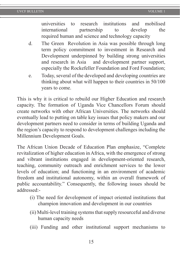universities to research institutions and mobilised international partnership to develop the required human and science and technology capacity

- d. The Green Revolution in Asia was possible through long term policy commitment to investment in Research and Development underpinned by building strong universities and research in Asia and development partner support, especially the Rockefeller Foundation and Ford Foundation;
- e. Today, several of the developed and developing countries are thinking about what will happen to their countries in 50/100 years to come.

This is why it is critical to rebuild our Higher Education and research capacity. The formation of Uganda Vice Chancellors Forum should create networks with other African Universities. The networks should eventually lead to putting on table key issues that policy makers and our development partners need to consider in terms of building Uganda and the region's capacity to respond to development challenges including the Millennium Development Goals.

The African Union Decade of Education Plan emphasize, "Complete revitalization of higher education in Africa, with the emergence of strong and vibrant institutions engaged in development-oriented research, teaching, community outreach and enrichment services to the lower levels of education; and functioning in an environment of academic freedom and institutional autonomy, within an overall framework of public accountability." Consequently, the following issues should be addressed:-

- (i) The need for development of impact oriented institutions that champion innovation and development in our countries
- (ii) Multi-level training systems that supply resourceful and diverse human capacity needs
- (iii) Funding and other institutional support mechanisms to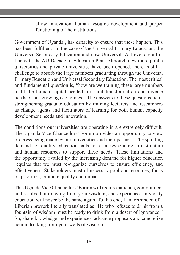allow innovation, human resource development and proper functioning of the institutions.

Government of Uganda , has capacity to ensure that these happen. This has been fulfilled. In the case of the Universal Primary Education, the Universal Secondary Education and now Universal 'A' Level are all in line with the AU Decade of Education Plan. Although new more public universities and private universities have been opened, there is still a challenge to absorb the large numbers graduating through the Universal Primary Education and Universal Secondary Education. The most critical and fundamental question is, "how are we training these large numbers to fit the human capital needed for rural transformation and diverse needs of our growing economies". The answers to these questions lie in strengthening graduate education by training lecturers and researchers as change agents and facilitators of learning for both human capacity development needs and innovation.

The conditions our universities are operating in are extremely difficult. The Uganda Vice Chancellors' Forum provides an opportunity to view progress being made by our universities and their partners. The spiraling demand for quality education calls for a corresponding infrastructure and human resources to support these needs. These limitations and the opportunity availed by the increasing demand for higher education requires that we must re-organize ourselves to ensure efficiency, and effectiveness. Stakeholders must of necessity pool our resources; focus on priorities, promote quality and impact.

This Uganda Vice Chancellors' Forum will require patience, commitment and resolve but drawing from your wisdom, and experience University education will never be the same again. To this end, I am reminded of a Liberian proverb literally translated as "He who refuses to drink from a fountain of wisdom must be ready to drink from a desert of ignorance." So, share knowledge and experiences, advance proposals and concretize action drinking from your wells of wisdom.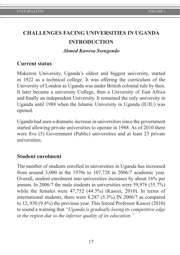# **CHALLENGES FACING UNIVERSITIES IN UGANDA INTRODUCTION**

#### *Ahmed Kawesa Ssengendo*

#### **Current status**

Makerere University, Uganda's oldest and biggest university, started in 1922 as a technical college. It was offering the curriculum of the University of London as Uganda was under British colonial rule by then. It later became a university College, then a University of East Africa and finally an independent University. It remained the only university in Uganda until 1988 when the Islamic University in Uganda (IUIU) was opened.

Uganda had seen a dramatic increase in universities since the government started allowing private universities to operate in 1988. As of 2010 there were five (5) Government (Public) universities and at least 23 private universities.

#### **Student enrolment**

The number of students enrolled in universities in Uganda has increased from around 3,000 in the 1970s to 107,728 in 2006/7 academic year. Overall, student enrolment into universities increases by about 16% per annum. In 2006/7 the male students in universities were 59,976 (55.7%) while the females were 47,752 (44.3%) (Kasozi, 2010). In terms of international students, there were 8,287 (5.3%) IN 2006/7 as compared to 12, 930 (9.4%) the previous year. This forced Professor Kasozi (2010) to sound a warning that *"Uganda is gradually losing its competitive edge in the region due to the inferior quality of its education."*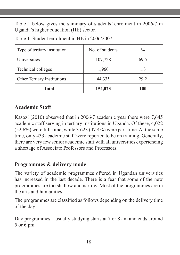Table 1 below gives the summary of students' enrolment in 2006/7 in Uganda's higher education (HE) sector.

| Type of tertiary institution | No. of students | $\frac{0}{0}$ |
|------------------------------|-----------------|---------------|
| Universities                 | 107,728         | 69.5          |
| Technical colleges           | 1,960           | 1.3           |
| Other Tertiary Institutions  | 44,335          | 29.2          |
| <b>Total</b>                 | 154,023         | 100           |

Table 1. Student enrolment in HE in 2006/2007

# **Academic Staff**

Kasozi (2010) observed that in 2006/7 academic year there were 7,645 academic staff serving in tertiary institutions in Uganda. Of these, 4,022 (52.6%) were full-time, while 3,623 (47.4%) were part-time. At the same time, only 433 academic staff were reported to be on training. Generally, there are very few senior academic staff with all universities experiencing a shortage of Associate Professors and Professors.

# **Programmes & delivery mode**

The variety of academic programmes offered in Ugandan universities has increased in the last decade. There is a fear that some of the new programmes are too shallow and narrow. Most of the programmes are in the arts and humanities.

The programmes are classified as follows depending on the delivery time of the day:

Day programmes – usually studying starts at 7 or 8 am and ends around 5 or 6 pm.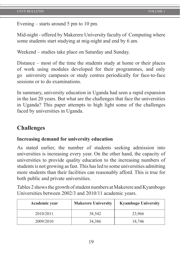Evening – starts around 5 pm to 10 pm.

Mid-night - offered by Makerere University faculty of Computing where some students start studying at mig-night and end by 6 am.

Weekend – studies take place on Saturday and Sunday.

Distance – most of the time the students study at home or their places of work using modules developed for their programmes, and only go university campuses or study centres periodically for face-to-face sessions or to do examinations.

In summary, university education in Uganda had seen a rapid expansion in the last 20 years. But what are the challenges that face the universities in Uganda? This paper attempts to high light some of the challenges faced by universities in Uganda.

# **Challenges**

#### **Increasing demand for university education**

As stated earlier, the number of students seeking admission into universities is increasing every year. On the other hand, the capacity of universities to provide quality education to the increasing numbers of students is not growing as fast. This has led to some universities admitting more students than their facilities can reasonably afford. This is true for both public and private universities.

Tables 2 shows the growth of student numbers at Makerere and Kyambogo Universities between 2002/3 and 2010/11 academic years.

| Academic year | <b>Makerere University</b> | <b>Kyambogo University</b> |
|---------------|----------------------------|----------------------------|
| 2010/2011     | 38,542                     | 23.966                     |
| 2009/2010     | 34,386                     | 18,746                     |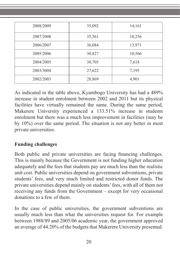| 2008/2009 | 35,092 | 14,161 |
|-----------|--------|--------|
| 2007/2008 | 35,561 | 10,256 |
| 2006/2007 | 36,084 | 13,971 |
| 2005/2006 | 30,827 | 10,566 |
| 2004/2005 | 30,705 | 7,618  |
| 2003/3004 | 27,622 | 7,195  |
| 2002/2003 | 28,869 | 4,901  |

As indicated in the table above, Kyambogo University has had a 489% increase in student enrolment between 2002 and 2011 but its physical facilities have virtually remained the same. During the same period, Makerere University experienced a 133.51% increase in students enrolment but there was a much less improvement in facilities (may be by 10%) over the same period. The situation is not any better in most private universities.

# **Funding challenges**

Both public and private universities are facing financing challenges. This is mainly because the Government is not funding higher education adequately and the fees that students pay are much less than the realistic unit cost. Public universities depend on government subventions, private students' fees, and very much limited and restricted donor funds. The private universities depend mainly on students' fees, with all of them not receiving any funds from the Government – except for very occasional donations to a few of them.

In the case of public universities, the government subventions are usually much less than what the universities request for. For example between 1988/89 and 2005/06 academic year, the government approved an average of 44.20% of the budgets that Makerere University presented.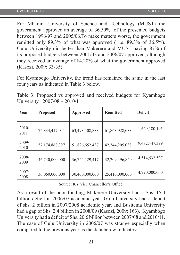For Mbarara University of Science and Technology (MUST) the government approved an average of 36.50% of the presented budgets between 1996/97 and 2005/06.To make matters worse, the government remitted only 89.3% of what was approved ( i.e. 89.3% of 36.5%). Gulu University did better than Makerere and MUST having 87% of its proposed budgets between 2001/02 and 2006/07 approved, although they received an average of 84.20% of what the government approved (Kasozi, 2009: 33-35).

For Kyambogo University, the trend has remained the same in the last four years as indicated in Table 3 below.

Table 3: Proposed vs approved and received budgets for Kyambogo University 2007/08 – 2010/11

| Year          | <b>Proposed</b> | Approved       | <b>Remitted</b> | <b>Deficit</b> |
|---------------|-----------------|----------------|-----------------|----------------|
| 2010/<br>2011 | 72,834,417,011  | 63,498,108,883 | 61,868,928,688  | 1,629,180,195  |
| 2009/<br>2010 | 57,174,868,327  | 51,826,652,437 | 42,344,205,038  | 9,482,447,399  |
| 2008/<br>2009 | 46,740,000,000  | 36,724,129,417 | 32,209,496,820  | 4,514,632,597  |
| 2007/<br>2008 | 36,060,000,000  | 30,400,000,000 | 25,410,000,000  | 4,990,000,000  |

Source: KY Vice Chancellor's Office.

As a result of the poor funding, Makerere University had a Shs. 15.4 billion deficit in 2006/07 academic year. Gulu University had a deficit of shs. 2 billion in 2007/2008 academic year, and Busitema University had a gap of Shs. 2.4 billion in 2008/09 (Kasozi, 2009: 163). Kyambogo University had a deficit of Shs. 20.6 billion between 2007/08 and 2010/11. The case of Gulu University in 2006/07 was strange especially when compared to the previous year as the data below indicates: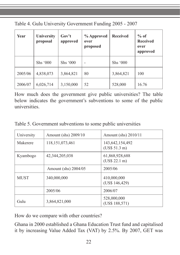Table 4. Gulu University Government Funding 2005 - 2007

| Year    | University<br>proposal | Gov't<br>approved | % Approved<br>over<br>proposed | <b>Received</b> | $%$ of<br><b>Received</b><br>over<br>approved |
|---------|------------------------|-------------------|--------------------------------|-----------------|-----------------------------------------------|
|         | Shs'000                | Shs'000           |                                | Shs'000         |                                               |
| 2005/06 | 4,838,073              | 3,864,821         | 80                             | 3,864,821       | 100                                           |
| 2006/07 | 6,026,714              | 3,150,000         | 52                             | 528,000         | 16.76                                         |

How much does the government give public universities? The table below indicates the government's subventions to some of the public universities.

Table 5. Government subventions to some public universities

| University  | Amount (shs) 2009/10   | Amount (shs) 2010/11             |
|-------------|------------------------|----------------------------------|
| Makerere    | 118, 151, 073, 461     | 143,642,154,492<br>(US\$ 51.3 m) |
| Kyambogo    | 42,344,205,038         | 61,868,928,688<br>(US\$ 22.1 m)  |
|             | Amount (shs) $2004/05$ | 2005/06                          |
| <b>MUST</b> | 340,000,000            | 410,000,000<br>(US\$ 146,429)    |
|             | 2005/06                | 2006/07                          |
| Gulu        | 3,864,821,000          | 528,000,000<br>(US\$ 188,571)    |

How do we compare with other countries?

Ghana in 2000 established a Ghana Education Trust fund and capitalised it by increasing Value Added Tax (VAT) by 2.5%. By 2007, GET was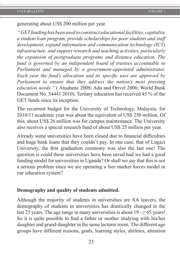generating about US\$ 200 million per year.

*" GET funding has been used to construct educational facilities, capitalize a student loan program, provide scholarships for poor students and staff development, expand information and communication technology (ICT) infrastructure, and support research and teaching activities, particularly the expansion of postgraduate programs and distance education. The fund is governed by an independent board of trustees accountable to Parliament and managed by a government-appointed administrator. Each year the fund's allocation and its specific uses are approved by Parliament to ensure that they address the nation's most pressing education needs."* ( Atuahene 2008; Adu and Orivel 2006; World Bank Document No. 54441 2010). Tertiary education has received 45 % of the GET funds since its inception.

The recurrent budget for the University of Technology, Malaysia, for 2010/11 academic year was about the equivalent of US\$ 250 million. Of this, about US\$ 26 million was for campus maintenance. The University also receives a special research fund of about US\$ 25 million per year.

Already some universities have been closed due to financial difficulties and huge bank loans that they couldn't pay. In one case, that of Lugazi University, the first graduation ceremony was also the last one! The question is could these universities have been saved had we had a good funding model for universities in Uganda? Or shall we say that this is not a serious problem since we are operating a free market forces model in our education system?

#### **Demography and quality of students admitted.**

Although the majority of students in universities are S.6 leavers, the demography of students in universities has drastically changed in the last 25 years. The age range in many universities is about  $19 - 65$  years! So it is quite possible to find a father or mother studying with his/her daughter and grand-daughter in the same lecturer room. The different age groups have different reasons, goals, learning styles, abilities, attention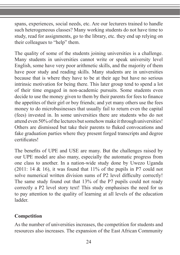spans, experiences, social needs, etc. Are our lecturers trained to handle such heterogeneous classes? Many working students do not have time to study, read for assignments, go to the library, etc. they end up relying on their colleagues to "help" them.

The quality of some of the students joining universities is a challenge. Many students in universities cannot write or speak university level English, some have very poor arithmetic skills, and the majority of them have poor study and reading skills. Many students are in universities because that is where they have to be at their age but have no serious intrinsic motivation for being there. This later group tend to spend a lot of their time engaged in non-academic pursuits. Some students even decide to use the money given to them by their parents for fees to finance the appetites of their girl or boy friends; and yet many others use the fees money to do microbusinesses that usually fail to return even the capital (fees) invested in. In some universities there are students who do not attend even 50% of the lectures but somehow make it through universities! Others are dismissed but take their parents to fluked convocations and fake graduation parties where they present forged transcripts and degree certificates!

The benefits of UPE and USE are many. But the challenges raised by our UPE model are also many, especially the automatic progress from one class to another. In a nation-wide study done by Uwezo Uganda (2011:  $14 \& 16$ ), it was found that  $11\%$  of the pupils in P7 could not solve numerical written division sums of P2 level difficulty correctly! The same study found out that 13% of the P7 pupils could not ready correctly a P2 level story text! This study emphasises the need for us to pay attention to the quality of learning at all levels of the education ladder.

# **Competition**

As the number of universities increases, the competition for students and resources also increases. The expansion of the East African Community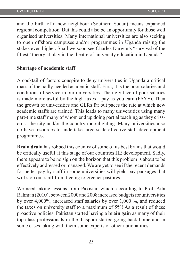and the birth of a new neighbour (Southern Sudan) means expanded regional competition. But this could also be an opportunity for those well organised universities. Many international universities are also seeking to open offshore campuses and/or programmes in Uganda raising the stakes even higher. Shall we soon see Charles Darwin's "survival of the fittest" theory at play in the theatre of university education in Uganda?

#### **Shortage of academic staff**

A cocktail of factors conspire to deny universities in Uganda a critical mass of the badly needed academic staff. First, it is the poor salaries and conditions of service in our universities. The ugly face of poor salaries is made more awful by the high taxes – pay as you earn (PAYE). Then the growth of universities and GERs far out paces the rate at which new academic staffs are trained. This leads to many universities using many part-time staff many of whom end up doing partial teaching as they crisscross the city and/or the country moonlighting. Many universities also do have resources to undertake large scale effective staff development programmes.

**Brain drain** has robbed this country of some of its best brains that would be critically useful at this stage of our countries HE development. Sadly, there appears to be no sign on the horizon that this problem is about to be effectively addressed or managed. We are yet to see if the recent demands for better pay by staff in some universities will yield pay packages that will stop our staff from fleeing to greener pastures.

We need taking lessons from Pakistan which, according to Prof. Atta Rahman (2010), between 2000 and 2008 increased budgets for universities by over 4,000%, increased staff salaries by over 1,000 %, and reduced the taxes on university staff to a maximum of 5%! As a result of these proactive policies, Pakistan started having a **brain gain** as many of their top class professionals in the diaspora started going back home and in some cases taking with them some experts of other nationalities.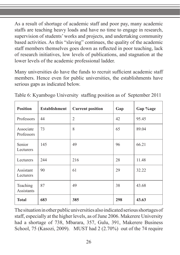As a result of shortage of academic staff and poor pay, many academic staffs are teaching heavy loads and have no time to engage in research, supervision of students' works and projects, and undertaking community based activities. As this "slaving" continues, the quality of the academic staff members themselves goes down as reflected in poor teaching, lack of research initiatives, low levels of publications, and stagnation at the lower levels of the academic professional ladder.

Many universities do have the funds to recruit sufficient academic staff members. Hence even for public universities, the establishments have serious gaps as indicated below.

| <b>Position</b>         | <b>Establishment</b> | <b>Current position</b> | Gap | Gap %age |
|-------------------------|----------------------|-------------------------|-----|----------|
| Professors              | 44                   | $\mathfrak{2}$          | 42  | 95.45    |
| Associate<br>Professors | 73                   | 8                       | 65  | 89.04    |
| Senior<br>Lecturers     | 145                  | 49                      | 96  | 66.21    |
| Lecturers               | 244                  | 216                     | 28  | 11.48    |
| Assistant<br>Lecturers  | 90                   | 61                      | 29  | 32.22    |
| Teaching<br>Assistants  | 87                   | 49                      | 38  | 43.68    |
| <b>Total</b>            | 683                  | 385                     | 298 | 43.63    |

Table 6: Kyambogo University staffing position as of September 2011

The situation in other public universities also indicated serious shortages of staff, especially at the higher levels, as of June 2006. Makerere University had a shortage of 738, Mbarara, 357, Gulu, 391, Makerere Business School, 75 (Kasozi, 2009). MUST had 2 (2.70%) out of the 74 require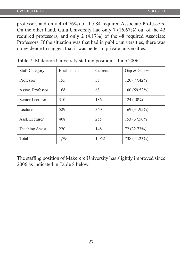#### UVCF BULLETIN VOLUME 1

professor, and only 4 (4.76%) of the 84 required Associate Professors. On the other hand, Gulu University had only 7 (16.67%) out of the 42 required professors, and only 2 (4.17%) of the 48 required Associate Professors. If the situation was that bad in public universities, there was no evidence to suggest that it was better in private universities.

| <b>Staff Category</b> | Established | Current | Gap & Gap %    |
|-----------------------|-------------|---------|----------------|
| Professor             | 155         | 35      | 120 (77.42%)   |
| Assoc. Professor      | 168         | 68      | $100(59.52\%)$ |
| Senior Lecturer       | 310         | 186     | $124(40\%)$    |
| Lecturer              | 529         | 360     | 169 (31.95%)   |
| Asst. Lecturer        | 408         | 255     | 153 (37.50%)   |
| Teaching Assist.      | 220         | 148     | 72 (32.73%)    |
| Total                 | 1,790       | 1,052   | 738 (41.23%)   |

Table 7: Makerere University staffing position – June 2006

The staffing position of Makerere University has slightly improved since 2006 as indicated in Table 8 below.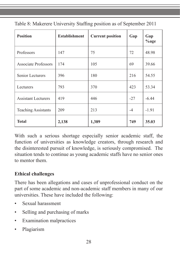| <b>Position</b>             | <b>Establishment</b> | <b>Current position</b> | Gap   | Gap<br>$%$ age |
|-----------------------------|----------------------|-------------------------|-------|----------------|
| Professors                  | 147                  | 75                      | 72    | 48.98          |
| <b>Associate Professors</b> | 174                  | 105                     | 69    | 39.66          |
| Senior Lecturers            | 396                  | 180                     | 216   | 54.55          |
| Lecturers                   | 793                  | 370                     | 423   | 53.34          |
| <b>Assistant Lecturers</b>  | 419                  | 446                     | $-27$ | $-6.44$        |
| <b>Teaching Assistants</b>  | 209                  | 213                     | $-4$  | $-1.91$        |
| <b>Total</b>                | 2,138                | 1,389                   | 749   | 35.03          |

Table 8: Makerere University Staffing position as of September 2011

With such a serious shortage especially senior academic staff, the function of universities as knowledge creators, through research and the disinterested pursuit of knowledge, is seriously compromised. The situation tends to continue as young academic staffs have no senior ones to mentor them.

# **Ethical challenges**

There has been allegations and cases of unprofessional conduct on the part of some academic and non-academic staff members in many of our universities. These have included the following:

- Sexual harassment
- Selling and purchasing of marks
- Examination malpractices
- Plagiarism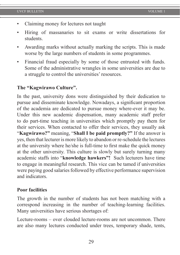- Claiming money for lectures not taught
- Hiring of massanaries to sit exams or write dissertations for students.
- Awarding marks without actually marking the scripts. This is made worse by the large numbers of students in some programmes.
- Financial fraud especially by some of those entrusted with funds. Some of the administrative wrangles in some universities are due to a struggle to control the universities' resources.

#### **The "Kagwirawo Culture".**

In the past, university dons were distinguished by their dedication to pursue and disseminate knowledge. Nowadays, a significant proportion of the academia are dedicated to pursue money where-ever it may be. Under this new academic dispensation, many academic staff prefer to do part-time teaching in universities which promptly pay them for their services. When contacted to offer their services, they usually ask "**Kagwirawo?"** meaning, "**Shall I be paid promptly?"** If the answer is yes, then that lecturer is more likely to abandon or re-schedule the lectures at the university where he/she is full-time to first make the quick money at the other university. This culture is slowly but surely turning many academic staffs into "**knowledge hawkers"!** Such lecturers have time to engage in meaningful research. This vice can be tamed if universities were paying good salaries followed by effective performance supervision and indicators.

#### **Poor facilities**

The growth in the number of students has not been matching with a correspond increasing in the number of teaching-learning facilities. Many universities have serious shortages of:

Lecture-rooms – over clouded lecture-rooms are not uncommon. There are also many lectures conducted under trees, temporary shade, tents,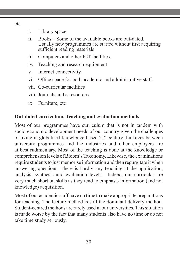etc.

- i. Library space
- ii. Books Some of the available books are out-dated. Usually new programmes are started without first acquiring sufficient reading materials
- iii. Computers and other ICT facilities.
- iv. Teaching and research equipment
- v. Internet connectivity.
- vi. Office space for both academic and administrative staff.
- vii. Co-curricular facilities
- viii. Journals and e-resources.
- ix. Furniture, etc

# **Out-dated curriculum, Teaching and evaluation methods**

Most of our programmes have curriculum that is not in tandem with socio-economic development needs of our country given the challenges of living in globalised knowledge-based 21st century. Linkages between university programmes and the industries and other employers are at best rudimentary. Most of the teaching is done at the knowledge or comprehension levels of Bloom's Taxonomy. Likewise, the examinations require students to just memorise information and then regurgitate it when answering questions. There is hardly any teaching at the application, analysis, synthesis and evaluation levels. Indeed, our curricular are very much short on skills as they tend to emphasis information (and not knowledge) acquisition.

Most of our academic staff have no time to make appropriate preparations for teaching. The lecture method is still the dominant delivery method. Student-centred methods are rarely used in our universities. This situation is made worse by the fact that many students also have no time or do not take time study seriously.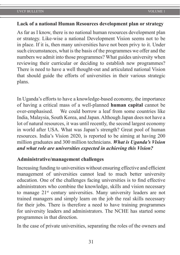### **Lack of a national Human Resources development plan or strategy**

As far as I know, there is no national human resources development plan or strategy. Like-wise a national Development Vision seems not to be in place. If it is, then many universities have not been privy to it. Under such circumstances, what is the basis of the programmes we offer and the numbers we admit into those programmes? What guides university when reviewing their curricular or deciding to establish new programmes? There is need to have a well thought-out and articulated national Vision that should guide the efforts of universities in their various strategic plans.

In Uganda's efforts to have a knowledge-based economy, the importance of having a critical mass of a well-planned **human capital** cannot be over-emphasised. We could borrow a leaf from some countries like India, Malaysia, South Korea, and Japan. Although Japan does not have a lot of natural resources, it was until recently, the second largest economy in world after USA. What was Japan's strength? Great pool of human resources. India's Vision 2020, is reported to be aiming at having 200 million graduates and 300 million technicians. *What is Uganda's Vision and what role are universities expected in achieving this Vision?*

### **Administrative/management challenges**

Increasing funding to universities without ensuring effective and efficient management of universities cannot lead to much better university education. One of the challenges facing universities is to find effective administrators who combine the knowledge, skills and vision necessary to manage 21st century universities. Many university leaders are not trained managers and simply learn on the job the real skills necessary for their jobs. There is therefore a need to have training programmes for university leaders and administrators. The NCHE has started some programmes in that direction.

In the case of private universities, separating the roles of the owners and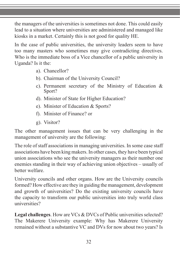the managers of the universities is sometimes not done. This could easily lead to a situation where universities are administered and managed like kiosks in a market. Certainly this is not good for quality HE.

In the case of public universities, the university leaders seem to have too many masters who sometimes may give contradicting directives. Who is the immediate boss of a Vice chancellor of a public university in Uganda? Is it the:

- a). Chancellor?
- b). Chairman of the University Council?
- c). Permanent secretary of the Ministry of Education & Sport?
- d). Minister of State for Higher Education?
- e). Minister of Education & Sports?
- f). Minister of Finance? or
- g). Visitor?

The other management issues that can be very challenging in the management of university are the following:

The role of staff associations in managing universities. In some case staff associations have been king makers. In other cases, they have been typical union associations who see the university managers as their number one enemies standing in their way of achieving union objectives – usually of better welfare.

University councils and other organs. How are the University councils formed? How effective are they in guiding the management, development and growth of universities? Do the existing university councils have the capacity to transform our public universities into truly world class universities?

**Legal challenges**. How are VCs & DVCs of Public universities selected? The Makerere University example: Why has Makerere University remained without a substantive VC and DVs for now about two years? Is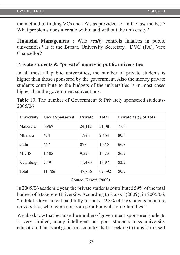the method of finding VCs and DVs as provided for in the law the best? What problems does it create within and without the university?

**Financial Management** : Who *really* controls finances in public universities? Is it the Bursar, University Secretary, DVC (FA), Vice Chancellor?

### **Private students & "private" money in public universities**

In all most all public universities, the number of private students is higher than those sponsored by the government. Also the money private students contribute to the budgets of the universities is in most cases higher than the government subventions.

| University     | Gov't Sponsored | <b>Private</b> | <b>Total</b> | Private as % of Total |
|----------------|-----------------|----------------|--------------|-----------------------|
| Makerere       | 6,969           | 24,112         | 31,081       | 77.6                  |
| <b>Mbarara</b> | 474             | 1,990          | 2,464        | 80.8                  |
| Gulu           | 447             | 898            | 1,345        | 66.8                  |
| <b>MUBS</b>    | 1,405           | 9,326          | 10,731       | 86.9                  |
| Kyambogo       | 2,491           | 11,480         | 13,971       | 82.2                  |
| Total          | 11,786          | 47,806         | 69,592       | 80.2                  |

Table 10. The number of Government & Privately sponsored students-2005/06

Source: Kasozi (2009).

In 2005/06 academic year, the private students contributed 59% of the total budget of Makerere University. According to Kasozi (2009), in 2005/06, "In total, Government paid fully for only 19.8% of the students in public universities, who, were not from poor but well-to-do families."

We also know that because the number of government-sponsored students is very limited, many intelligent but poor students miss university education. This is not good for a country that is seeking to transform itself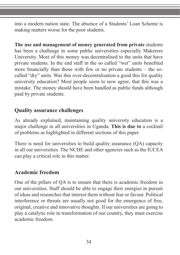into a modern nation state. The absence of a Students' Loan Scheme is making matters worse for the poor students.

**The use and management of money generated from private** students has been a challenge in some public universities especially Makerere University. Most of this money was decentralised to the units that have private students. In the end staff in the so called "wet" units benefited more financially than those with few or no private students – the socalled "dry" units. Was this over-decentralisation a good this for quality university education? Most people seem to now agree, that this was a mistake. The money should have been handled as public funds although paid by private students.

## **Quality assurance challenges**

As already explained, maintaining quality university education is a major challenge in all universities in Uganda. **This is due to** a cocktail of problems as highlighted in different sections of this paper.

There is need for universities to build quality assurance (QA) capacity in all our universities. The NCHE and other agencies such as the IUCEA can play a critical role in this matter.

## **Academic freedom**

One of the pillars of QA is to ensure that there is academic freedom in our universities. Staff should be able to engage their energies in pursuit of ideas and researches that interest them without fear or favour. Political interference or threats are usually not good for the emergence of free, original, creative and innovative thoughts. If our universities are going to play a catalytic role in transformation of our country, they must exercise academic freedom.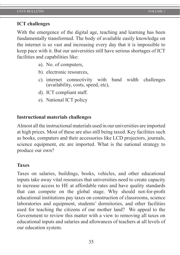### **ICT challenges**

With the emergence of the digital age, teaching and learning has been fundamentally transformed. The body of available easily knowledge on the internet is so vast and increasing every day that it is impossible to keep pace with it. But our universities still have serious shortages of ICT facilities and capabilities like:

- a). No. of computers,
- b). electronic resources,
- c). internet connectivity with band width challenges (availability, costs, speed, etc),
- d). ICT compliant staff.
- e). National ICT policy

### **Instructional materials challenges**

Almost all the instructional materials used in our universities are imported at high prices. Most of these are also still being taxed. Key facilities such as books, computers and their accessories like LCD projectors, journals, science equipment, etc are imported. What is the national strategy to produce our own?

### **Taxes**

Taxes on salaries, buildings, books, vehicles, and other educational inputs take away vital resources that universities need to create capacity to increase access to HE at affordable rates and have quality standards that can compete on the global stage. Why should not-for-profit educational institutions pay taxes on construction of classrooms, science laboratories and equipment, students' dormitories, and other facilities used for teaching the citizens of our mother land? We appeal to the Government to review this matter with a view to removing all taxes on educational inputs and salaries and allowances of teachers at all levels of our education system.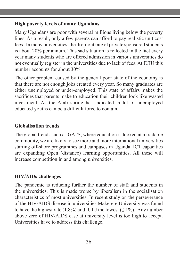## **High poverty levels of many Ugandans**

Many Ugandans are poor with several millions living below the poverty lines. As a result, only a few parents can afford to pay realistic unit cost fees. In many universities, the drop-out rate of private sponsored students is about 20% per annum. This sad situation is reflected in the fact every year many students who are offered admission in various universities do not eventually register in the universities due to lack of fees. At IUIU this number accounts for about 30%.

The other problem caused by the general poor state of the economy is that there are not enough jobs created every year. So many graduates are either unemployed or under-employed. This state of affairs makes the sacrifices that parents make to education their children look like wasted investment. As the Arab spring has indicated, a lot of unemployed educated youths can be a difficult force to contain.

## **Globalisation trends**

The global trends such as GATS, where education is looked at a tradable commodity, we are likely to see more and more international universities starting off-shore programmes and campuses in Uganda. ICT capacities are expanding Open (distance) learning opportunities. All these will increase competition in and among universities.

## **HIV/AIDs challenges**

The pandemic is reducing further the number of staff and students in the universities. This is made worse by liberalism in the socialisation characteristics of most universities. In recent study on the perseverance of the HIV/AIDS disease in universities Makerere University was found to have the highest rate  $(1.8\%)$  and IUIU the lowest  $($  < 1%). Any number above zero of HIV/AIDS case at university level is too high to accept. Universities have to address this challenge.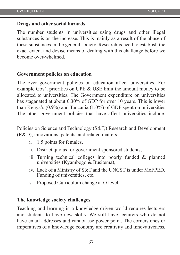### **Drugs and other social hazards**

The number students in universities using drugs and other illegal substances is on the increase. This is mainly as a result of the abuse of these substances in the general society. Research is need to establish the exact extent and devise means of dealing with this challenge before we become over-whelmed.

### **Government policies on education**

The over government policies on education affect universities. For example Gov't priorities on UPE & USE limit the amount money to be allocated to universities. The Government expenditure on universities has staganated at about 0.30% of GDP for over 10 years. This is lower than Kenya's (0.9%) and Tanzania (1.0%) of GDP spent on universities The other government policies that have affect universities include:

Policies on Science and Technology (S&T,) Research and Development (R&D), innovations, patents, and related matters;

- i. 1.5 points for females,
- ii. District quotas for government sponsored students,
- iii. Turning technical colleges into poorly funded & planned universities (Kyambogo & Busitema),
- iv. Lack of a Ministry of S&T and the UNCST is under MoFPED, Funding of universities, etc.
- v. Proposed Curriculum change at O level,

### **The knowledge society challenges**

Teaching and learning in a knowledge-driven world requires lecturers and students to have new skills. We still have lecturers who do not have email addresses and cannot use power point. The cornerstones or imperatives of a knowledge economy are creativity and innovativeness.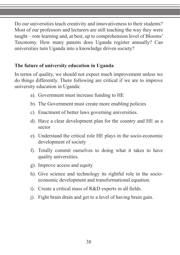Do our universities teach creativity and innovativeness to their students? Most of our professors and lecturers are still teaching the way they were taught – rote learning and, at best, up to comprehension level of Blooms' Taxonomy. How many patents does Uganda register annually? Can universities turn Uganda into a knowledge driven society?

## **The future of university education in Uganda**

In terms of quality, we should not expect much improvement unless we do things differently. There following are critical if we are to improve university education in Uganda:

- a). Government must increase funding to HE
- b). The Government must create more enabling policies
- c). Enactment of better laws governing universities.
- d). Have a clear development plan for the country and HE as a sector
- e). Understand the critical role HE plays in the socio-economic development of society
- f). Totally commit ourselves to doing what it takes to have quality universities.
- g). Improve access and equity
- h). Give science and technology its rightful role in the socioeconomic development and transformational equation.
- i). Create a critical mass of R&D experts in all fields.
- j). Fight brain drain and get to a level of having brain gain.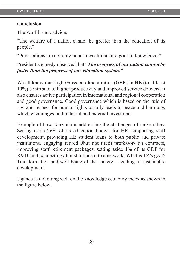### **Conclusion**

The World Bank advice:

"The welfare of a nation cannot be greater than the education of its people."

"Poor nations are not only poor in wealth but are poor in knowledge,"

President Kennedy observed that "*The progress of our nation cannot be faster than the progress of our education system."*

We all know that high Gross enrolment ratios (GER) in HE (to at least 10%) contribute to higher productivity and improved service delivery, it also ensures active participation in international and regional cooperation and good governance. Good governance which is based on the rule of law and respect for human rights usually leads to peace and harmony, which encourages both internal and external investment.

Example of how Tanzania is addressing the challenges of universities: Setting aside 26% of its education budget for HE, supporting staff development, providing HE student loans to both public and private institutions, engaging retired 9but not tired) professors on contracts, improving staff retirement packages, setting aside 1% of its GDP for R&D, and connecting all institutions into a network. What is TZ's goal? Transformation and well being of the society – leading to sustainable development.

Uganda is not doing well on the knowledge economy index as shown in the figure below.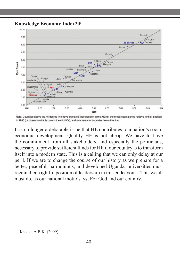### **Knowledge Economy Index201**



Note: Countries above the 45 degree line have improved their position in the KEI for the most recent period relative to their position in 1995 (or closest available date in the mid-90s), and vice versa for countries below the line.

It is no longer a debatable issue that HE contributes to a nation's socioeconomic development. Quality HE is not cheap. We have to have the commitment from all stakeholders, and especially the politicians, necessary to provide sufficient funds for HE if our country is to transform itself into a modern state. This is a calling that we can only delay at our peril. If we are to change the course of our history as we prepare for a better, peaceful, harmonious, and developed Uganda, universities must regain their rightful position of leadership in this endeavour. This we all must do, as our national motto says, For God and our country.

Kasozi, A.B.K. (2009).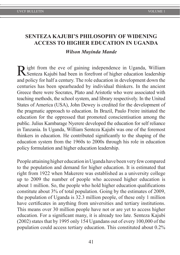## **SENTEZA KAJUBI'S PHILOSOPHY OF WIDENING ACCESS TO HIGHER EDUCATION IN UGANDA**

*Wilson Muyinda Mande* 

Right from the eve of gaining independence in Uganda, William Senteza Kajubi had been in forefront of higher education leadership and policy for half a century. The role education in development down the centuries has been spearheaded by individual thinkers. In the ancient Greece there were Socrates, Plato and Aristotle who were associated with teaching methods, the school system, and library respectively. In the United States of America (USA), John Dewey is credited for the development of the pragmatic approach to education. In Brazil, Paulo Freire initiated the education for the oppressed that promoted conscientisation among the public. Julius Kambarage Nyerere developed the education for self reliance in Tanzania. In Uganda, William Senteza Kajubi was one of the foremost thinkers in education. He contributed significantly to the shaping of the education system from the 1960s to 2000s through his role in education policy formulation and higher education leadership.

People attaining higher education in Uganda have been very few compared to the population and demand for higher education. It is estimated that right from 1922 when Makerere was established as a university college up to 2009 the number of people who accessed higher education is about 1 million. So, the people who hold higher education qualifications constitute about 3% of total population. Going by the estimates of 2009, the population of Uganda is 32.3 million people, of these only 1 million have certificates in anything from universities and tertiary institutions. This means over 30 million people have not or are yet to access higher education. For a significant many, it is already too late. Senteza Kajubi (2002) states that by 1995 only 154 Ugandans out of every 100,000 of the population could access tertiary education. This constituted about 0.2%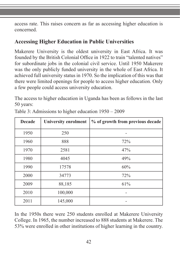access rate. This raises concern as far as accessing higher education is concerned.

## **Accessing Higher Education in Public Universities**

Makerere University is the oldest university in East Africa. It was founded by the British Colonial Office in 1922 to train "talented natives" for subordinate jobs in the colonial civil service. Until 1950 Makerere was the only publicly funded university in the whole of East Africa. It achieved full university status in 1970. So the implication of this was that there were limited openings for people to access higher education. Only a few people could access university education.

The access to higher education in Uganda has been as follows in the last 50 years:

| <b>Decade</b> | <b>University enrolment</b> | % of growth from previous decade |
|---------------|-----------------------------|----------------------------------|
| 1950          | 250                         |                                  |
| 1960          | 888                         | 72%                              |
| 1970          | 2581                        | 47%                              |
| 1980          | 4045                        | 49%                              |
| 1990          | 17578                       | 60%                              |
| 2000          | 34773                       | 72%                              |
| 2009          | 88,185                      | 61%                              |
| 2010          | 100,000                     | -                                |
| 2011          | 145,000                     |                                  |

Table 3: Admissions to higher education 1950 – 2009

In the 1950s there were 250 students enrolled at Makerere University College. In 1965, the number increased to 888 students at Makerere. The 53% were enrolled in other institutions of higher learning in the country.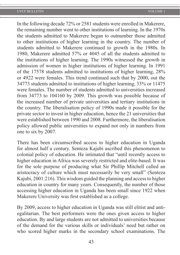#### UVCF BULLETIN VOLUME 1

In the following decade 72% or 2581 students were enrolled in Makerere, the remaining number went to other institutions of learning. In the 1970s the students admitted to Makerere began to outnumber those admitted to other institutions of higher learning in the country. The number of students admitted to Makerere continued to growth in the 1980s. In 1980, Makerere admitted 57% or 4045 of all the students admitted to the institutions of higher learning. The 1990s witnessed the growth in admission of women in higher institutions of higher learning. In 1991 of the 17578 students admitted to institutions of higher learning, 28% or 4922 were females. This trend continued such that by 2000, out the 34773 students admitted to institutions of higher learning, 33% or 11475 were females. The number of students admitted to universities increased from 34773 to 104160 by 2009. This growth was possible because of the increased number of private universities and tertiary institutions in the country. The liberalisation policy of 1990s made it possible for the private sector to invest in higher education, hence the 21 universities that were established between 1990 and 2008. Furthermore, the liberalisation policy allowed public universities to expand not only in numbers from one to six by 2007.

There has been circumscribed access to higher education in Uganda for almost half a century. Senteza Kajubi ascribed this phenomenon to colonial policy of education. He intimated that "until recently access to higher education in Africa was severely restricted and elite-based. It was for the sole purpose of producing what Sir Phillip Mitchell called an aristocracy of culture which must necessarily be very small" (Senteza Kajubi, 2001:216). This wisdom guided the planning and access to higher education in country for many years. Consequently, the number of those accessing higher education in Uganda has been small since 1922 when Makerere University was first established as a college.

By 2009, access to higher education in Uganda was still elitist and antiegalitarian. The best performers were the ones given access to higher education. By and large students are not admitted to universities because of the demand for the various skills or individuals' need but rather on who scored higher marks in the secondary school examinations. The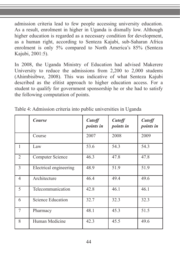admission criteria lead to few people accessing university education. As a result, enrolment in higher in Uganda is dismally low. Although higher education is regarded as a necessary condition for development, as a human right, according to Senteza Kajubi, sub-Saharan Africa enrolment is only 5% compared to North America's 85% (Senteza Kajubi, 2001:5).

In 2008, the Uganda Ministry of Education had advised Makerere University to reduce the admissions from 2,200 to 2,000 students (Ahimbisibwe, 2008). This was indicative of what Senteza Kajubi described as the elitist approach to higher education access. For a student to qualify for government sponsorship he or she had to satisfy the following computation of points.

|                | <b>Course</b>            | <b>Cutoff</b><br>points in | <b>Cutoff</b><br>points in | <b>Cutoff</b><br>points in |
|----------------|--------------------------|----------------------------|----------------------------|----------------------------|
|                | Course                   | 2007                       | 2008                       | 2009                       |
| 1              | Law                      | 53.6                       | 54.3                       | 54.3                       |
| 2              | <b>Computer Science</b>  | 46.3                       | 47.8                       | 47.8                       |
| $\overline{3}$ | Electrical engineering   | 48.9                       | 51.9                       | 51.9                       |
| $\overline{4}$ | Architecture             | 46.4                       | 49.4                       | 49.6                       |
| 5              | Telecommunication        | 42.8                       | 46.1                       | 46.1                       |
| 6              | <b>Science Education</b> | 32.7                       | 32.3                       | 32.3                       |
| $\overline{7}$ | Pharmacy                 | 48.1                       | 45.3                       | 51.5                       |
| 8              | Human Medicine           | 42.3                       | 45.5                       | 49.6                       |

Table 4: Admission criteria into public universities in Uganda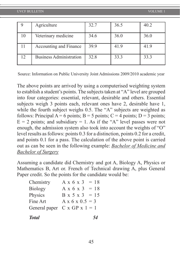|     | Agriculture                    | 32.7 | 36.5 | 40.2 |
|-----|--------------------------------|------|------|------|
| 10  | Veterinary medicine            | 34.6 | 36.0 | 36.0 |
|     | Accounting and Finance         | 39.9 | 41.9 | 41.9 |
| 12. | <b>Business Administration</b> | 32.8 | 33.3 | 33.3 |

Source: Information on Public University Joint Admissions 2009/2010 academic year

The above points are arrived by using a computerised weighting system to establish a student's points. The subjects taken at "A" level are grouped into four categories: essential, relevant, desirable and others. Essential subjects weigh 3 points each, relevant ones have 2, desirable have 1, while the fourth subject weighs 0.5. The "A" subjects are weighted as follows: Principal  $A = 6$  points;  $B = 5$  points;  $C = 4$  points;  $D = 3$  points;  $E = 2$  points; and subsidiary = 1. As if the "A" level passes were not enough, the admission system also took into account the weights of "O" level results as follows: points 0.3 for a distinction, points 0.2 for a credit, and points 0.1 for a pass. The calculation of the above point is carried out as can be seen in the following example: *Bachelor of Medicine and Bachelor of Surgery*

Assuming a candidate did Chemistry and got A, Biology A, Physics or Mathematics B, Art or. French of Technical drawing A, plus General Paper credit. So the points for the candidate would be:

| <b>Total</b>                             |                             | 54 |
|------------------------------------------|-----------------------------|----|
| General paper $C \times GP \times 1 = 1$ |                             |    |
| Fine Art                                 | $A \times 6 \times 0.5 = 3$ |    |
| Physics                                  | $B \times 5 \times 3 = 15$  |    |
| <b>Biology</b>                           | $A \times 6 \times 3 = 18$  |    |
| Chemistry                                | $A \times 6 \times 3 = 18$  |    |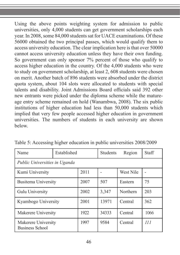Using the above points weighting system for admission to public universities, only 4,000 students can get government scholarships each year. In 2008, some 84,000 students sat for UACE examinations. Of these 56000 obtained the two principal passes, which would qualify them to access university education. The clear implication here is that over 50000 cannot access university education unless they have their own funding. So government can only sponsor 7% percent of those who qualify to access higher education in the country. Of the 4,000 students who were to study on government scholarship, at least 2, 608 students were chosen on merit. Another batch of 896 students were absorbed under the district quota system, about 104 slots were allocated to students with special talents and disability. Joint Admissions Board officials said 392 other new entrants were picked under the diploma scheme while the matureage entry scheme remained on hold (Wanambwa, 2008). The six public institutions of higher education had less than 50,000 students which implied that very few people accessed higher education in government universities. The numbers of students in each university are shown below.

| Name                                          | Established |      | <b>Students</b> | Region    | <b>Staff</b> |
|-----------------------------------------------|-------------|------|-----------------|-----------|--------------|
| Public Universities in Uganda                 |             |      |                 |           |              |
| Kumi University                               |             | 2011 |                 | West Nile |              |
| <b>Busitema University</b>                    |             | 2007 | 507             | Eastern   | 75           |
| Gulu University                               |             | 2002 | 3,347           | Northern  | 203          |
| Kyambogo University                           |             | 2001 | 13971           | Central   | 362          |
| Makerere University                           |             | 1922 | 34333           | Central   | 1066         |
| Makerere University<br><b>Business School</b> |             | 1997 | 9584            | Central   | III          |

Table 5: Accessing higher education in public universities 2008/2009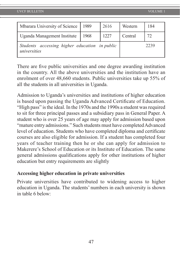| Mbarara University of Science                                 | 1989 | 2616 | Western | 184  |
|---------------------------------------------------------------|------|------|---------|------|
| Uganda Management Institute                                   | 1968 | 1227 | Central | 72   |
| Students accessing higher education in public<br>universities |      |      |         | 2239 |

There are five public universities and one degree awarding institution in the country. All the above universities and the institution have an enrolment of over 48,660 students. Public universities take up 55% of all the students in all universities in Uganda.

Admission to Uganda's universities and institutions of higher education is based upon passing the Uganda Advanced Certificate of Education. "High pass" is the ideal. In the 1970s and the 1990s a student was required to sit for three principal passes and a subsidiary pass in General Paper. A student who is over 25 years of age may apply for admission based upon "mature entry admissions." Such students must have completed Advanced level of education. Students who have completed diploma and certificate courses are also eligible for admission. If a student has completed four years of teacher training then he or she can apply for admission to Makerere's School of Education or its Institute of Education. The same general admissions qualifications apply for other institutions of higher education but entry requirements are slightly

### **Accessing higher education in private universities**

Private universities have contributed to widening access to higher education in Uganda. The students' numbers in each university is shown in table 6 below: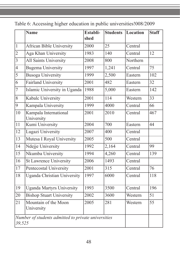|                 | <b>Name</b>                                         | Establi-<br>shed | <b>Students</b> | Location | <b>Staff</b> |
|-----------------|-----------------------------------------------------|------------------|-----------------|----------|--------------|
|                 |                                                     |                  |                 |          |              |
| $\overline{1}$  | African Bible University                            | 2000             | 25              | Central  |              |
| $\overline{2}$  | Aga Khan University                                 | 1983             | 140             | Central  | 12           |
| $\overline{3}$  | <b>All Saints University</b>                        | 2008             | 800             | Northern |              |
| $\overline{4}$  | <b>Bugema University</b>                            | 1997             | 1,241           | Central  | 75           |
| $\overline{5}$  | <b>Busoga University</b>                            | 1999             | 2,500           | Eastern  | 102          |
| $\overline{6}$  | <b>Fairland University</b>                          | 2001             | 482             | Eastern  | 32           |
| $\overline{7}$  | Islamic University in Uganda                        | 1988             | 5,000           | Eastern  | 142          |
| 8               | Kabalc University                                   | 2001             | 114             | Western  | 33           |
| $\overline{9}$  | Kampala University                                  | 1999             | 4000            | Central  | 66           |
| 10              | Kampala International<br>University                 | 2001             | 2010            | Central  | 467          |
| 11              | Kumi University                                     | 2004             | 700             | Eastern  | 44           |
| 12              | Lugazi University                                   | 2007             | 400             | Central  |              |
| $\overline{13}$ | Mutesa I Royal University                           | 2005             | 500             | Central  |              |
| 14              | Ndejje University                                   | 1992             | 2,164           | Central  | 99           |
| 15              | Nkumba University                                   | 1994             | 4,260           | Central  | 139          |
| $\overline{16}$ | <b>St Lawrence University</b>                       | 2006             | 1493            | Central  |              |
| 17              | Pentecostal University                              | 2001             | 315             | Central  | 76           |
| 18              | <b>Uganda Christian University</b>                  | 1997             | 6000            | Central  | 118          |
| 19              | <b>Uganda Martyrs University</b>                    | 1993             | 3500            | Central  | 196          |
| $\overline{20}$ | <b>Bishop Stuart University</b>                     | 2002             | 3600            | Western  | 51           |
| $\overline{21}$ | Mountain of the Moon<br>University                  | 2005             | 281             | Western  | 55           |
| 39,525          | Number of students admitted to private universities |                  |                 |          |              |

Table 6: Accessing higher education in public universities!008/2009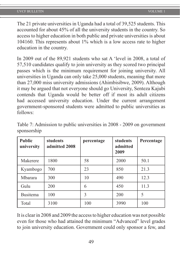The 21 private universities in Uganda had a total of 39,525 students. This accounted for about 45% of all the university students in the country. So access to higher education in both public and private universities is about 104160. This represents about 1% which is a low access rate to higher education in the country.

In 2009 out of the 89,921 students who sat A 'level in 2008, a total of 57,510 candidates qualify to join university as they scored two principal passes which is the minimum requirement for joining university. All universities in Uganda can only take 25,000 students, meaning that more than 27,000 miss university admissions (Ahimbisibwe, 2009). Although it may be argued that not everyone should go University, Senteza Kajubi contends that Uganda would be better off if most its adult citizens had accessed university education. Under the current arrangement government-sponsored students were admitted to public universities as follows:

| <b>Public</b><br>university | students<br>admitted 2008 | percentage | students<br>admitted<br>2009 | Percentage |
|-----------------------------|---------------------------|------------|------------------------------|------------|
| Makerere                    | 1800                      | 58         | 2000                         | 50.1       |
| Kyambogo                    | 700                       | 23         | 850                          | 21.3       |
| Mbarara                     | 300                       | 10         | 490                          | 12.3       |
| Gulu                        | 200                       | 6          | 450                          | 11.3       |
| <b>Busitema</b>             | 100                       | 3          | 200                          | 5          |
| Total                       | 3100                      | 100        | 3990                         | 100        |

Table 7: Admission to public universities in 2008 - 2009 on government sponsorship

It is clear in 2008 and 2009 the access to higher education was not possible even for those who had attained the minimum "Advanced" level grades to join university education. Government could only sponsor a few, and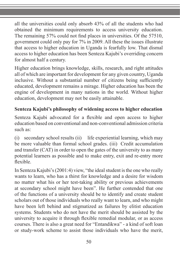all the universities could only absorb 43% of all the students who had obtained the minimum requirements to access university education. The remaining 57% could not find places in universities. Of the 57510, government could only pay for 7% in 2009. All these the issues illustrate that access to higher education in Uganda is fearfully low. That dismal access to higher education has been Senteza Kajubi's overriding concern for almost half a century.

Higher education brings knowledge, skills, research, and right attitudes all of which are important for development for any given country, Uganda inclusive. Without a substantial number of citizens being sufficiently educated, development remains a mirage. Higher education has been the engine of development in many nations in the world. Without higher education, development may not be easily attainable.

## **Senteza Kajubi's philosophy of widening access to higher education**

Senteza Kajubi advocated for a flexible and open access to higher education based on conventional and non-conventional admission criteria such as:

(i) secondary school results (ii) life experiential learning, which may be more valuable than formal school grades. (iii) Credit accumulation and transfer (CAT) in order to open the gates of the university to as many potential learners as possible and to make entry, exit and re-entry more flexible.

In Senteza Kajubi's (2001:4) view, "the ideal student is the one who really wants to learn, who has a thirst for knowledge and a desire for wisdom no matter what his or her test-taking ability or previous achievements at secondary school might have been". He further contended that one of the functions of a university should be to identify and create student scholars out of those individuals who really want to learn, and who might have been left behind and stigmatized as failures by elitist education systems. Students who do not have the merit should be assisted by the university to acquire it through flexible remedial modular, or as access courses. There is also a great need for "Entandikwa" - a kind of soft loan or study-work scheme to assist those individuals who have the merit,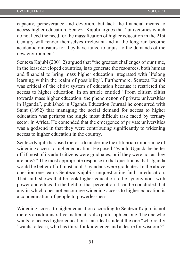#### UVCF BULLETIN VOLUME 1

capacity, perseverance and devotion, but lack the financial means to access higher education. Senteza Kajubi argues that "universities which do not heed the need for the massification of higher education in the 21st Century will render themselves irrelevant and in the long run become academic dinosaurs for they have failed to adjust to the demands of the new environment".

Senteza Kajubi (2001:2) argued that "the greatest challenges of our time, in the least developed countries, is to generate the resources, both human and financial to bring mass higher education integrated with lifelong learning within the realm of possibility". Furthermore, Senteza Kajubi was critical of the elitist system of education because it restricted the access to higher education. In an article entitled "From elitism elitist towards mass higher education: the phenomenon of private universities in Uganda", published in Uganda Education Journal he concurred with Saint (1992) that managing the social demand for access to higher education was perhaps the single most difficult task faced by tertiary sector in Africa. He contended that the emergence of private universities was a godsend in that they were contributing significantly to widening access to higher education in the country.

Senteza Kajubi has used rhetoric to underline the utilitarian importance of widening access to higher education. He posed, "would Uganda be better off if most of its adult citizens were graduates, or if they were not as they are now?" The most appropriate response to that question is that Uganda would be better off of most adult Ugandans were graduates. In the above question one learns Senteza Kajubi's unquestioning faith in education. That faith shows that he took higher education to be synonymous with power and ethics. In the light of that perception it can be concluded that any in which does not encourage widening access to higher education is a condemnation of people to powerlessness.

Widening access to higher education according to Senteza Kajubi is not merely an administrative matter, it is also philosophical one. The one who wants to access higher education is an ideal student the one "who really "wants to learn, who has thirst for knowledge and a desire for wisdom ?''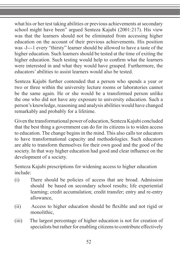what his or her test taking abilities or previous achievements at secondary school might have been" argued Senteza Kajubi (2001:217). His view was that the learners should not be eliminated from accessing higher education on the account of their previous achievements. His position was -J---1 every "thirsty" learner should be allowed to have a taste of the higher education. Such learners should be tested at the time of exiting the higher education. Such testing would help to confirm what the learners were interested in and what they would have grasped. Furthermore, the educators' abilities to assist learners would also be tested.

Senteza Kajubi further contended that a person who spends a year or two or three within the university lecture rooms or laboratories cannot be the same again. He or she would be a transformed person unlike the one who did not have any exposure to university education. Such a person's knowledge, reasoning and analysis abilities would have changed remarkably and probably for a lifetime.

Given the transformational power of education, Senteza Kajubi concluded that the best thing a government can do for its citizens is to widen access to education. The change begins in the mind. This also calls tor educators to have transformational capacity and methodologies. Such educators are able to transform themselves for their own good and the good of the society. In that way higher education had good and clear influence on the development of a society.

Senteza Kajubi prescriptions for widening access to higher education include:

- (i) There should be policies of access that are broad. Admission should be based on secondary school results; life experiential learning; credit accumulation; credit transfer; entry and re-entry allowance,
- (ii) Access to higher education should be flexible and not rigid or monolithic,
- (iii) The largest percentage of higher education is not for creation of specialists but rather for enabling citizens to contribute effectively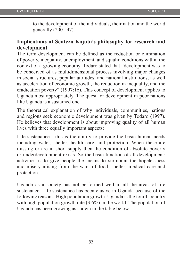to the development of the individuals, their nation and the world generally (2001:47).

## **Implications of Senteza Kajubi's philosophy for research and development**

The term development can be defined as the reduction or elimination of poverty, inequality, unemployment, and squalid conditions within the context of a growing economy. Todaro stated that "development was to be conceived of as multidimensional process involving major changes in social structures, popular attitudes, and national institutions, as well as acceleration of economic growth, the reduction in inequality, and the eradication poverty" (1997:16). This concept of development applies to Uganda most appropriately. The quest for development in poor nations like Uganda is a sustained one.

The theoretical explanation of why individuals, communities, nations and regions seek economic development was given by Todaro (1997). He believes that development is about improving quality of all human lives with three equally important aspects:

Life-sustenance - this is the ability to provide the basic human needs including water, shelter, health care, and protection. When these are missing or are in short supply then the condition of absolute poverty or underdevelopment exists. So the basic function of all development: activities is to give people the means to surmount the hopelessness and misery arising from the want of food, shelter, medical care and protection.

Uganda as a society has not performed well in all the areas of life sustenance. Life sustenance has been elusive in Uganda because of the following reasons: High population growth. Uganda is the fourth country with high population growth rate  $(3.6\%)$  in the world. The population of Uganda has been growing as shown in the table below: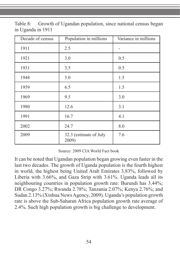Table 8: Growth of Ugandan population, since national census began in Uganda in 1911

| Decade of census | Population in millions          | Variance in millions |
|------------------|---------------------------------|----------------------|
| 1911             | 2.5                             |                      |
| 1921             | 3.0                             | 0.5                  |
| 1931             | 3.5                             | 0.5                  |
| 1948             | 5.0                             | 1.5                  |
| 1959             | 6.5                             | 1.5                  |
| 1969             | 9.5                             | 3.0                  |
| 1980             | 12.6                            | 3.1                  |
| 1991             | 16.7                            | 4.1                  |
| 2002             | 24.7                            | 8.0                  |
| 2009             | 32.3 (estimate of July<br>2009) | 7.6                  |

Source: 2009 CIA World Fact book

It can be noted that Ugandan population began growing even faster in the last two decades. The growth of Uganda population is the fourth highest in world, the highest being United Arab Emirates 3.83%, followed by Liberia with 3.66%, and Gaza Strip with 3.61%. Uganda leads all its neighbouring countries in population growth rate: Burundi has 3.44%; DR Congo 3.27%; Rwanda 2.78%; Tanzania 2.07%; Kenya 2.76%; and Sudan 2.13% (Xinhua News Agency, 2009). Uganda's population growth rate is above the Sub-Saharan Africa population growth rate average of 2.4%. Such high population growth is big challenge to development.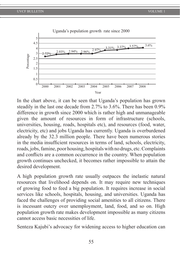

In the chart above, it can be seen that Uganda's population has grown steadily in the last one decade from 2.7% to 3.6%. There has been 0.9% difference in growth since 2000 which is rather high and unmanageable given the amount of resources in form of infrastructure (schools, universities, housing, roads, hospitals etc), and resources (food, water, electricity, etc) and jobs Uganda has currently. Uganda is overburdened already by the 32.3 million people. There have been numerous stories in the media insufficient resources in terms of land, schools, electricity, roads, jobs, famine, poor housing, hospitals with no drugs, etc. Complaints and conflicts are a common occurrence in the country. When population growth continues unchecked, it becomes rather impossible to attain the desired development.

A high population growth rate usually outpaces the inelastic natural resources that livelihood depends on. It may require new techniques of growing food to feed a big population. It requires increase in social services like schools, hospitals, housing, and universities. Uganda has faced the challenges of providing social amenities to all citizens. There is incessant outcry over unemployment, land, food, and so on. High population growth rate makes development impossible as many citizens cannot access basic necessities of life.

Senteza Kajubi's advocacy for widening access to higher education can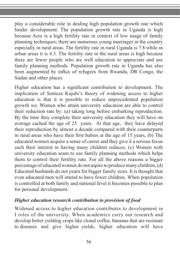play a considerable role in dealing high population growth rate which hinder development. The population growth rate in Uganda is high because Acre is a high fertility rate in context of low usage of family planning techniques; there are numerous young marriages in the country especially in rural areas. The fertility rate in rural Uganda is 7.8 while in urban areas it is 4.3. The fertility rate in the rural areas is high because there are fewer people who are well education to appreciate and use family planning methods. Population growth rate in Uganda has also been augmented by influx of refugees from Rwanda, DR Congo, the Sudan and other places.

Higher education has a significant contribution to development. The implication of Senteza Kajubi's theory of widening access to higher education is that it is possible to reduce unprecedented population growth we. Women who attain university education are able to control their reduction rate by: (a) taking long before embarking reproduction. By the time they complete their university education they will have on average cached the age of 25 years. At that age, they have delayed their reproduction by almost a decade compared with their counterparts in rural areas who have their first babies at the age of 15 years, (b) The educated women acquire a sense of career and they give it a serious focus such their interest in having many children reduces, (c) Women with university education seam to use family planning methods which helps them to control their fertility rate. For all the above reasons a bigger percentage of educated women do not aspire to produce many children, (d) Educated husbands do not yearn for bigger family sizes. It is thought that even educated men will intend to have fewer children. When population is controlled at both family and national level it becomes possible to plan for personal development.

## *Higher education research contribution to provision of food*

Widened access to higher education contributes to development in I roles of the university. When academics carry out research and develop better yielding crops like clonal coffee, bananas that are resistant to diseases and give higher yields, higher education will have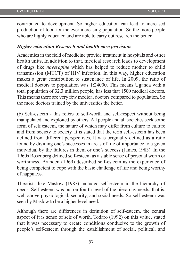contributed to development. So higher education can lead to increased production of food for the ever increasing population. So the more people who are highly educated and are able to carry out research the better.

### *Higher education Research and health care provision*

Academics in the field of medicine provide treatment in hospitals and other health units. In addition to that, medical research leads to development of drugs like *naverapine* which has helped to reduce mother to child transmission (MTCT) of HIV infection. In this way, higher education makes a great contribution to sustenance of life. In 2009, the ratio of medical doctors to population was 1:24000. This means Uganda with a total population of 32.3 million people, has less that 1500 medical doctors. This means there are very few medical doctors compared to population. So the more doctors trained by the universities the better.

(b) Self-esteem - this refers to self-worth and self-respect without being manipulated and exploited by others. All people and all societies seek some form of self esteem, the nature of which may differ from culture to culture and from society to society. It is stated that the term self-esteem has been defined from different perspectives. It was originally defined as a ratio found by dividing one's successes in areas of life of importance to a given individual by the failures in them or one's success (James, 1983). In the 1960s Rosenberg defined self-esteem as a stable sense of personal worth or worthiness. Branden (1969) described self-esteem as the experience of being competent to cope with the basic challenge of life and being worthy of happiness.

Theorists like Maslow (1987) included self-esteem in the hierarchy of needs. Self-esteem was put on fourth level of the hierarchy needs, that is. well above physiological, security, and social needs. So self-esteem was seen by Maslow to be a higher level need.

Although there are differences in definition of self-esteem, the central aspect of it is sense of self of worth. Todaro (1992) on this value, stated that it was necessary to create conditions conducive to the growth of people's self-esteem through the establishment of social, political, and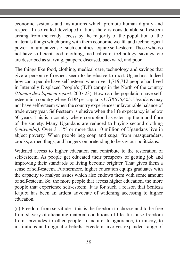economic systems and institutions which promote human dignity and respect. In so called developed nations there is considerable self-esteem arising from the ready access by the majority of the population of the materials things which bring with them economic wealth and technological power. In turn citizens of such countries acquire self-esteem. Those who do not have sufficient food, clothing, medical care, technology, savings, etc are described as starving, paupers, diseased, backward, and poor.

The things like food, clothing, medical care, technology and savings that give a person self-respect seem to be elusive to most Ugandans. Indeed how can a people have self-esteem when over 1,719,712 people had lived in Internally Displaced People's (IDP) camps in the North of the country *(Human development report,* 2007:23). How can the population have selfesteem in a country where GDP per capita is UGX575,405. Ugandans may not have self-esteem when the country experiences unfavourable balance of trade every year. Self-esteem is elusive when the life expectancy is below 50 years. This is a country where corruption has eaten up the moral fibre of the society. Many Ugandans are reduced to buying second clothing *(emivumba).* Over 31.1% or more than 10 million of Ugandans live in abject poverty. When people beg soap and sugar from masqueraders, crooks, armed thugs, and hangers-on pretending to be saviour politicians.

Widened access to higher education can contribute to the restoration of self-esteem. As people get educated their prospects of getting job and improving their standards of living become brighter. That gives them a sense of self-esteem. Furthermore, higher education equips graduates with the capacity to analyse issues which also endows them with some amount of self-esteem. So, the more people that access higher education, the more people that experience self-esteem. It is for such a reason that Senteza Kajubi has been an ardent advocate of widening accessing to higher education.

(c) Freedom from servitude - this is the freedom to choose and to be free from slavery of alienating material conditions of life. It is also freedom from servitudes to other people, to nature, to ignorance, to misery, to institutions and dogmatic beliefs. Freedom involves expanded range of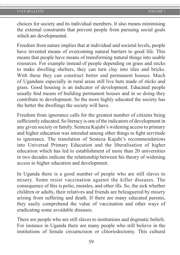choices for society and its individual members. It also means minimising the external constraints that prevent people from pursuing social goals which are developmental.

Freedom from nature implies that at individual and societal levels, people have invented means of overcoming natural barriers to good life. This means that people have means of transforming natural things into usable resources. For example instead of people depending on grass and sticks to make dwelling shelters, they can turn clay into tiles and bricks. With these they can construct better and permanent houses. Much of Ugandans especially in rural areas still live huts made of sticks and grass. Good housing is an indicator of development. Educated people usually find means of building permanent houses and in so doing they contribute to development. So the more highly educated the society has the better the dwellings the society will have.

Freedom from ignorance calls for the greatest number of citizens being sufficiently educated. So literacy is one of the indicators of development in any given society or family. Senteza Kajubi's widening access to primary and higher education was intended among other things to fight servitude to ignorance. The translation of Senteza Kajubi's recommendations into Universal Primary Education and the liberalisation of higher education which has led to establishment of more than 20 universities in two decades indicate the relationship between his theory of widening access to higher education and development.

In Uganda there is a good number of people who are still slaves to misery. Some resist vaccination against the killer diseases. The consequence of this is polio, measles, and other ills. So, the sick whether children or adults, their relatives and friends are beleaguered by misery arising from suffering and death. If there are many educated parents, they easily comprehend the value of vaccination and other ways of eradicating some avoidable diseases.

There are people who are still slaves to institutions and dogmatic beliefs. For instance in Uganda there are many people who still believe in the institutions of female circumcision or clitoriodoctomy. This cultural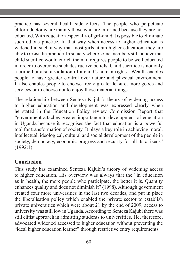practice has several health side effects. The people who perpetuate clitoriodoctomy are mainly those who are informed because they are not educated. With education especially of girl-child it is possible to eliminate such odious practice. In that way when access to higher education is widened in such a way that most girls attain higher education, they are able to resist the practice. In society where some members still believe that child sacrifice would enrich them, it requires people to be well educated in order to overcome such destructive beliefs. Child sacrifice is not only a crime but also a violation of a child's human rights. Wealth enables people to have greater control over nature and physical environment. It also enables people to choose freely greater leisure, more goods and services or to choose not to enjoy those material things.

The relationship between Senteza Kajubi's theory of widening access to higher education and development was expressed clearly when he stated in the Education Policy review Commission Report that "government attaches greater importance to development of education in Uganda because it recognises the fact that education is a powerful tool for transformation of society. It plays a key role in achieving moral, intellectual, ideological, cultural and social development of the people in society, democracy, economic progress and security for all its citizens"  $(1992:1)$ .

## **Conclusion**

This study has examined Senteza Kajubi's theory of widening access to higher education. His overview was always that the "in education as in health, the more people who participate, the better it is. Quantity enhances quality and does not diminish it" (1998). Although government created four more universities in the last two decades, and put in place the liberalisation policy which enabled the private sector to establish private universities which were about 21 by the end of 2009, access to university was still low in Uganda. According to Senteza Kajubi there was still elitist approach in admitting students to universities. He, therefore, advocated widened accessed to higher education without preventing the "ideal higher education learner" through restrictive entry requirements.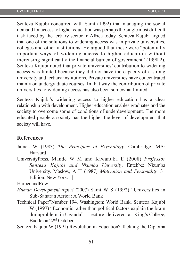#### UVCF BULLETIN VOLUME 1

Senteza Kajubi concurred with Saint (1992) that managing the social demand for access to higher education was perhaps the single most difficult task faced by the tertiary sector in Africa today. Senteza Kajubi argued that one of the solutions to widening access was in private universities, colleges and other institutions. He argued that these were "potentially important ways of widening access to higher education without increasing significantly the financial burden of government" (1998:2). Senteza Kajubi noted that private universities' contribution to widening access was limited because they did not have the capacity of a strong university and tertiary institutions. Private universities have concentrated mainly on undergraduate courses. In that way the contribution of private universities to widening access has also been somewhat limited.

Senteza Kajubi's widening access to higher education has a clear relationship with development. Higher education enables graduates and the society to overcome some of conditions of underdevelopment. The more educated people a society has the higher the level of development that society will have.

### **References**

- James W (1983) *The Principles of Psychology.* Cambridge, MA: Harvard
- UniversityPress. Mande W M and Kiwanuka E (2008) *Professor Senteza Kajubi and Nkumba University.* Entebbe: Nkumba University. Maslow, A H (1987) *Motivation and Personality.* 3rd Edition. New York: |

Harper andRow.

- *Human Development report* (2007) Saint W S (1992) "Universities in Sub-Saharan Africa: A World Bank
- Technical Paper"Number 194. Washington: World Bank. Senteza Kajubi W (1997) "Economic rather than political factors explain the brain drainproblem in Uganda". Lecture delivered at King's College, Buddo on 22nd October.

Senteza Kajubi W (1991) Revolution in Education? Tackling the Diploma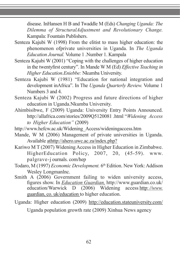disease. InHansen H B and Twaddle M (Eds) *Changing Uganda: The Dilemma of StructuralAdjustment and Revolutionary Change.*  Kampala: Fountain Publishers.

- Senteza Kajubi W (1998) From the elitist to mass higher education: the phenomenon ofprivate universities in Uganda. In *The Uganda Education Journal.* Volume 1 .Number 1. Kampala
- Senteza Kajubi W (2001) "Coping with the challenges of higher education in the twentyfirst century". In Mande W M (Ed) *Effective Teaching in Higher Education.Eniebbe:* Nkumba University.
- Senteza Kajubi W (1981) "Education for national integration and development inAfrica". In The *Uganda Quarterly Review.* Volume 1 Numbers 3 and 4.
- Senteza Kajubi W (2002) Progress and future directions of higher education in Uganda.Nkumba University.
- Ahimbisibwe, F (2009) Uganda: University Entry Points Announced. http://allafrica.com/stories/2009Q5120081 .html "*Widening Access to Higher Education"* (2009)
- http://www.hefcw.ac.uk/Widening\_Access/wideningaccess.htm
- Mande, W M (2006) Management of private universities in Uganda. Available athttp://ahero.uwc.ac.za/index.php?
- Kariwo M T (2007) Widening Access in Higher Education in Zimbabwe. HigherEducation Policy, 2007, 20, (45-59). www. palgrave-j ournals. com/hep
- Todaro, M (1997) *Economic Development*. 6<sup>th</sup> Edition. New York: Addison Wesley Longmanlnc.
- Smith A (2006) Government failing to widen university access, figures show. In *Education Guardian,* http://www.guardian.co.uk/ education/Warwick D (2006) Widening guardian, co. uk/education to higher education.
- Uganda: Higher education (2009) http://education.stateuniversity.com/ Uganda population growth rate (2009) Xinhua News agency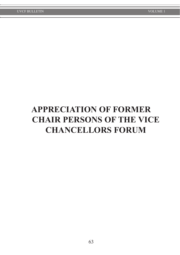# **APPRECIATION OF FORMER CHAIR PERSONS OF THE VICE CHANCELLORS FORUM**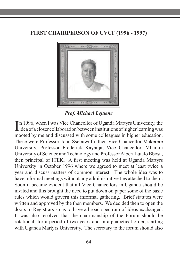## **FIRST CHAIRPERSON OF UVCF (1996 - 1997)**



*Prof. Michael Lejuene*

In 1996, when I was Vice Chancellor of Uganda Martyrs University, the idea of a closer collaboration between institutions of higher learning was idea of a closer collaboration between institutions of higher learning was mooted by me and discussed with some colleagues in higher education. These were Professor John Ssebuwufu, then Vice Chancellor Makerere University, Professor Frederick Kayanja, Vice Chancellor, Mbarara University of Science and Technology and Professor Albert Lutalo Bbosa, then principal of ITEK. A first meeting was held at Uganda Martyrs University in October 1996 where we agreed to meet at least twice a year and discuss matters of common interest. The whole idea was to have informal meetings without any administrative ties attached to them. Soon it became evident that all Vice Chancellors in Uganda should be invited and this brought the need to put down on paper some of the basic rules which would govern this informal gathering. Brief statutes were written and approved by the then members. We decided then to open the doors to Registrars so as to have a broad spectrum of ideas exchanged. It was also resolved that the chairmanship of the Forum should be rotational, for a period of two years and in alphabetical order, starting with Uganda Martyrs University. The secretary to the forum should also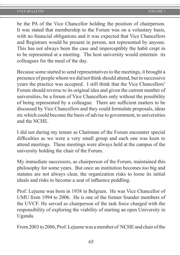be the PA of the Vice Chancellor holding the position of chairperson. It was stated that membership to the Forum was on a voluntary basis, with no financial obligations and it was expected that Vice Chancellors and Registrars would be present in person, not represented by anyone. This has not always been the case and imperceptibly the habit crept in to be represented at a meeting. The host university would entertain its colleagues for the meal of the day.

Because some started to send representatives to the meetings, it brought a presence of people whom we did not think should attend, but in successive years the practice was accepted. I still think that the Vice Chancellors' Forum should reverse to its original idea and given the current number of universities, be a forum of Vice Chancellors only without the possibility of being represented by a colleague. There are sufficient matters to be discussed by Vice Chancellors and they could formulate proposals, ideas etc which could become the basis of advise to government, to universities and the NCHE.

I did not during my tenure as Chairman of the Forum encounter special difficulties as we were a very small group and each one was keen to attend meetings. These meetings were always held at the campus of the university holding the chair of the Forum.

My immediate successors, as chairperson of the Forum, maintained this philosophy for some years. But once an institution becomes too big and statutes are not always clear, the organization risks to loose its initial ideals and risks to become a seat of influence peddling.

Prof. Lejuene was born in 1938 in Belgium. He was Vice Chancellor of UMU from 1994 to 2006. He is one of the former founder members of the UVCF. He served as chairperson of the task force charged with the responsibility of exploring the viability of starting an open University in Uganda.

From 2003 to 2006, Prof. Lejuene was a member of NCHE and chair of the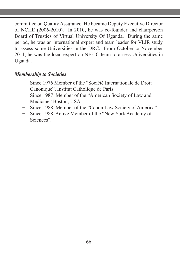committee on Quality Assurance. He became Deputy Executive Director of NCHE (2006-2010). In 2010, he was co-founder and chairperson Board of Trusties of Virtual University Of Uganda. During the same period, he was an international expert and team leader for VLIR study to assess some Universities in the DRC. From October to November 2011, he was the local expert on NFFIC team to assess Universities in Uganda.

## *Membership to Societies*

- − Since 1976 Member of the "Société Internationale de Droit Canonique", Institut Catholique de Paris.
- − Since 1987 Member of the "American Society of Law and Medicine" Boston, USA.
- − Since 1988 Member of the "Canon Law Society of America".
- − Since 1988 Active Member of the "New York Academy of Sciences".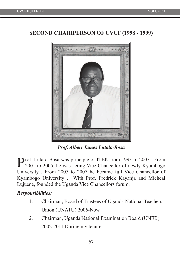## **SECOND CHAIRPERSON OF UVCF (1998 - 1999)**



*Prof. Albert James Lutalo-Bosa* 

**Prof.** Lutalo Bosa was principle of ITEK from 1993 to 2007. From 2001 to 2005, he was acting Vice Chancellor of newly Kyambogo University . From 2005 to 2007 he became full Vice Chancellor of Kyambogo University . With Prof. Fredrick Kayanja and Micheal Lujuene, founded the Uganda Vice Chancellors forum.

#### *Responsibilities;*

- 1. Chairman, Board of Trustees of Uganda National Teachers' Union (UNATU) 2006-Now
- 2. Chairman, Uganda National Examination Board (UNEB) 2002-2011 During my tenure: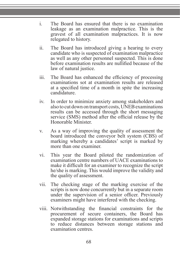- i. The Board has ensured that there is no examination leakage as an examination malpractice. This is the gravest of all examination malpractices. It is now relegated to history.
- ii. The Board has introduced giving a hearing to every candidate who is suspected of examination malpractice as well as any other personnel suspected. This is done before examination results are nullified because of the law of natural justice.
- iii. The Board has enhanced the efficiency of processing examinations sot at examination results are released at a specified time of a month in spite the increasing candidature.
- iv. In order to minimize anxiety among stakeholders and also to cut down on transport costs, UNEB examinations results can be accessed through the short messaging service (SMS) method after the official release by the Honorable Minister.
- v. As a way of improving the quality of assessment the board introduced the conveyor belt system (CBS) of marking whereby a candidates' script is marked by more than one examiner.
- vi. This year the Board piloted the randomization of examination centre numbers of UACE examinations to make it difficult for an examiner to recognize the script he/she is marking. This would improve the validity and the quality of assessment.
- vii. The checking stage of the marking exercise of the scripts is now done concurrently but in a separate room under the supervision of a senior officer. Previously examiners might have interfered with the checking.
- viii. Notwithstanding the financial constraints for the procurement of secure containers, the Board has expanded storage stations for examinations and scripts to reduce distances between storage stations and examination centres.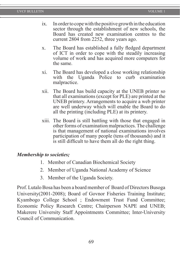- ix. In order to cope with the positive growth in the education sector through the establishment of new schools, the Board has created new examination centres to the current 2804 from 2252, three years ago.
- x. The Board has established a fully fledged department of ICT in order to cope with the steadily increasing volume of work and has acquired more computers for the same.
- xi. The Board has developed a close working relationship with the Uganda Police to curb examination malpractice.
- xii. The Board has build capacity at the UNEB printer so that all examinations (except for PLE) are printed at the UNEB printery. Arrangements to acquire a web printer are well underway which will enable the Board to do all the printing (including PLE) at its printery.
- xiii. The Board is still battling with those that engaged in other forms of examination malpractices. The challenge is that management of national examinations involves participation of many people (tens of thousands) and it is still difficult to have them all do the right thing.

#### *Membership to societies;*

- 1. Member of Canadian Biochemical Society
- 2. Member of Uganda National Academy of Science
- 3. Member of the Uganda Society.

Prof. Lutalo Bosa has been a board member of Board of Directors Busoga University(2001-2008); Board of Govnor Fisheries Training Institute; Kyambogo College School ; Endowment Trust Fund Committee; Economic Policy Research Centre; Chairperson NAPE and UNEB; Makerere University Staff Appointments Committee; Inter-University Council of Communication.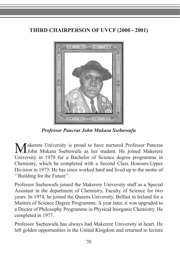# **THIRD CHAIRPERSON OF UVCF (2000 - 2001)**



*Professor Pancras John Mukasa Ssebuwufu*

Makerere University is proud to have nurtured Professor Pancras<br>
John Mukasa Ssebuwufu as her student. He joined Makerere University in 1970 for a Bachelor of Science degree programme in Chemistry, which he completed with a Second Class Honours-Upper Division in 1973. He has since worked hard and lived up to the motto of ''Building for the Future''.

Professor Ssebuwufu joined the Makerere University staff as a Special Assistant in the department of Chemistry, Faculty of Science for two years. In 1974, he joined the Queens University, Belfast in Ireland for a Masters of Science Degree Programme. A year later, it was upgraded to a Doctor of Philosophy Programme in Physical Inorganic Chemistry. He completed in 1977.

Professor Ssebuwufu has always had Makerere University at heart. He left golden opportunities in the United Kingdom and returned to lecture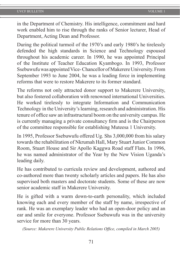in the Department of Chemistry. His intelligence, commitment and hard work enabled him to rise through the ranks of Senior lecturer, Head of Department, Acting Dean and Professor.

During the political turmoil of the 1970's and early 1980's he tirelessly defended the high standards in Science and Technology espoused throughout his academic career. In 1990, he was appointed Principal of the Institute of Teacher Education Kyambogo. In 1993, Professor Ssebuwufu was appointed Vice- Chancellor of Makerere University. From September 1993 to June 2004, he was a leading force in implementing reforms that were to restore Makerere to its former standard.

The reforms not only attracted donor support to Makerere University, but also fostered collaboration with renowned international Universities. He worked tirelessly to integrate Information and Communication Technology in the University's learning, research and administration. His tenure of office saw an infrastructural boom on the university campus. He is currently managing a private consultancy firm and is the Chairperson of the committee responsible for establishing Muteesa 1 University.

In 1995, Professor Ssebuwufu offered Ug. Shs 3,000,000 from his salary towards the rehabilitation of Nkrumah Hall, Mary Stuart Junior Common Room, Stuart House and Sir Apollo Kaggwa Road staff Flats. In 1996, he was named administrator of the Year by the New Vision Uganda's leading daily.

He has contributed to curricula review and development, authored and co-authored more than twenty scholarly articles and papers. He has also supervised both masters and doctorate students. Some of these are now senior academic staff in Makerere University.

He is gifted with a warm down-to-earth personality, which included knowing each and every member of the staff by name, irrespective of rank. He was an exemplary leader who had an open-door policy and an ear and smile for everyone. Professor Ssebuwufu was in the university service for more than 30 years.

*(Source: Makerere University Public Relations Office, compiled in March 2005)*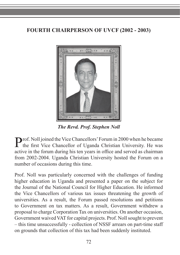# **FOURTH CHAIRPERSON OF UVCF (2002 - 2003)**



*The Revd. Prof. Stephen Noll*

**Prof.** Noll joined the Vice Chancellors' Forum in 2000 when he became the first Vice Chancellor of Uganda Christian University. He was active in the forum during his ten years in office and served as chairman from 2002-2004. Uganda Christian University hosted the Forum on a number of occasions during this time.

Prof. Noll was particularly concerned with the challenges of funding higher education in Uganda and presented a paper on the subject for the Journal of the National Council for Higher Education. He informed the Vice Chancellors of various tax issues threatening the growth of universities. As a result, the Forum passed resolutions and petitions to Government on tax matters. As a result, Government withdrew a proposal to charge Corporation Tax on universities. On another occasion, Government waived VAT for capital projects. Prof. Noll sought to prevent – this time unsuccessfully - collection of NSSF arrears on part-time staff on grounds that collection of this tax had been suddenly instituted.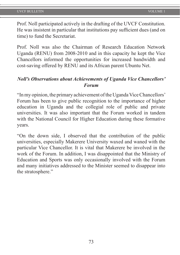Prof. Noll participated actively in the drafting of the UVCF Constitution. He was insistent in particular that institutions pay sufficient dues (and on time) to fund the Secretariat.

Prof. Noll was also the Chairman of Research Education Network Uganda (RENU) from 2008-2010 and in this capacity he kept the Vice Chancellors informed the opportunities for increased bandwidth and cost-saving offered by RENU and its African parent Ubuntu Net.

### *Noll's Observations about Achievements of Uganda Vice Chancellors' Forum*

"In my opinion, the primary achievement of the Uganda Vice Chancellors' Forum has been to give public recognition to the importance of higher education in Uganda and the collegial role of public and private universities. It was also important that the Forum worked in tandem with the National Council for Higher Education during these formative years.

"On the down side, I observed that the contribution of the public universities, especially Makerere University waxed and waned with the particular Vice Chancellor. It is vital that Makerere be involved in the work of the Forum. In addition, I was disappointed that the Ministry of Education and Sports was only occasionally involved with the Forum and many initiatives addressed to the Minister seemed to disappear into the stratosphere."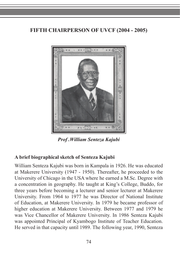# **FIFTH CHAIRPERSON OF UVCF (2004 - 2005)**



*Prof .William Senteza Kajubi*

### **A brief biographical sketch of Senteza Kajubi**

William Senteza Kajubi was born in Kampala in 1926. He was educated at Makerere University (1947 - 1950). Thereafter, he proceeded to the University of Chicago in the USA where he earned a M.Sc. Degree with a concentration in geography. He taught at King's College, Buddo, for three years before becoming a lecturer and senior lecturer at Makerere University. From 1964 to 1977 he was Director of National Institute of Education, at Makerere University. In 1979 he became professor of higher education at Makerere University. Between 1977 and 1979 he was Vice Chancellor of Makerere University. In 1986 Senteza Kajubi was appointed Principal of Kyambogo Institute of Teacher Education. He served in that capacity until 1989. The following year, 1990, Senteza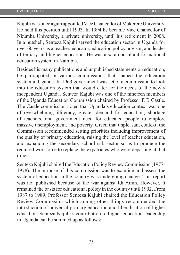Kajubi was once again appointed Vice Chancellor of Makerere University. He held this position until 1993. In 1994 he became Vice Chancellor of Nkumba University, a private university, until his retirement in 2008. In a nutshell, Senteza Kajubi served the education sector in Uganda for over 60 years as a teacher, educator, education policy advisor, and leader of tertiary and higher education. He was also a consultant for national education system in Namibia.

Besides his many publications and unpublished statements on education, he participated in various commissions that shaped the education system in Uganda. In 1963 government was set of a commission to look into the education system that would cater for the needs of the newly independent Uganda. Senteza Kajubi was one of the nineteen members of the Uganda Education Commission chaired by Professor E B Castle. The Castle commission noted that Uganda's education context was one of overwhelming illiteracy, greater demand for education, shortage of teachers, and government need for educated people to employ, massive unemployment, and poverty. Given that unpleasant context, the Commission recommended setting priorities including improvement of the quality of primary education, raising the level of teacher education, and expanding the secondary school sub sector so as to produce the required workforce to replace the expatriates who were departing at that time.

Senteza Kajubi chaired the Education Policy Review Commission (1977- 1978). The purpose of this commission was to examine and assess the system of education in the country was undergoing change. This report was not published because of the war against Idi Amin. However, it remained the basis for educational policy in the country until 1992. From 1987 to 1989, Professor Senteza Kajubi chaired the Education Policy Review Commission which among other things recommended the introduction of universal primary education and liberalisation of higher education. Senteza Kajubi's contribution to higher education leadership in Uganda can be summed up as follows: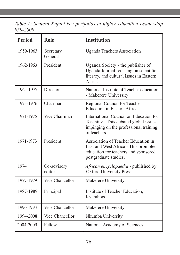*Table 1: Senteza Kajubi key portfolios in higher education Leadership 959-2009*

| <b>Period</b> | <b>Role</b>           | <b>Institution</b>                                                                                                                           |  |
|---------------|-----------------------|----------------------------------------------------------------------------------------------------------------------------------------------|--|
| 1959-1963     | Secretary<br>General  | <b>Uganda Teachers Association</b>                                                                                                           |  |
| 1962-1963     | President             | Uganda Society - the publisher of<br>Uganda Journal focusing on scientific,<br>literary, and cultural issues in Eastern<br>Africa.           |  |
| 1964-1977     | Director              | National Institute of Teacher education<br>- Makerere University                                                                             |  |
| 1973-1976     | Chairman              | Regional Council for Teacher<br>Education in Eastern Africa.                                                                                 |  |
| 1971-1975     | Vice Chairman         | International Council on Education for<br>Teaching - This debated global issues<br>impinging on the professional training<br>of teachers.    |  |
| 1971-1973     | President             | Association of Teacher Education in<br>East and West Africa - This promoted<br>education for teachers and sponsored<br>postgraduate studies. |  |
| 1974          | Co-advisory<br>editor | African encyclopaedia - published by<br>Oxford University Press.                                                                             |  |
| 1977-1979     | Vice Chancellor       | Makerere University                                                                                                                          |  |
| 1987-1989     | Principal             | Institute of Teacher Education,<br>Kyambogo                                                                                                  |  |
| 1990-1993     | Vice Chancellor       | Makerere University                                                                                                                          |  |
| 1994-2008     | Vice Chancellor       | Nkumba University                                                                                                                            |  |
| 2004-2009     | Fellow                | National Academy of Sciences                                                                                                                 |  |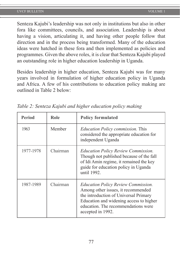Senteza Kajubi's leadership was not only in institutions but also in other fora like committees, councils, and association. Leadership is about having a vision, articulating it, and having other people follow that direction and in the process being transformed. Many of the education ideas were hatched in these fora and then implemented as policies and programmes. Given the above roles, it is clear that Senteza Kajubi played an outstanding role in higher education leadership in Uganda.

Besides leadership in higher education, Senteza Kajubi was for many years involved in formulation of higher education policy in Uganda and Africa. A few of his contributions to education policy making are outlined in Table 2 below:

| <b>Period</b> | Role     | <b>Policy formulated</b>                                                                                                                                                                                                         |  |
|---------------|----------|----------------------------------------------------------------------------------------------------------------------------------------------------------------------------------------------------------------------------------|--|
| 1963          | Member   | <i>Education Policy commission.</i> This<br>considered the appropriate education for<br>independent Uganda                                                                                                                       |  |
| 1977-1978     | Chairman | <b>Education Policy Review Commission.</b><br>Though not published because of the fall<br>of Idi Amin regime, it remained the key<br>guide for education policy in Uganda<br>until 1992.                                         |  |
| 1987-1989     | Chairman | <b>Education Policy Review Commission.</b><br>Among other issues, it recommended<br>the introduction of Universal Primary<br>Education and widening access to higher<br>education. The recommendations were<br>accepted in 1992. |  |

*Table 2: Senteza Kajubi and higher education policy making*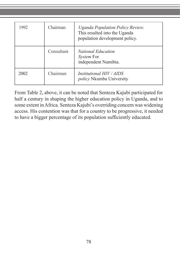| 1992 | Chairman   | Uganda Population Policy Review.<br>This resulted into the Uganda<br>population development policy. |
|------|------------|-----------------------------------------------------------------------------------------------------|
|      | Consultant | <i>National Education</i><br><i>System</i> For<br>independent Namibia.                              |
| 2002 | Chairman   | Institutional HIV / AIDS<br>policy Nkumba University                                                |

From Table 2, above, it can be noted that Senteza Kajubi participated for half a century in shaping the higher education policy in Uganda, and to some extent in Africa. Senteza Kajubi's overriding concern was widening access. His contention was that for a country to be progressive, it needed to have a bigger percentage of its population sufficiently educated.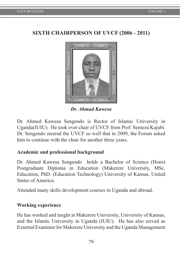## **SIXTH CHAIRPERSON OF UVCF (2006 - 2011)**



*Dr. Ahmad Kawesa* 

Dr. Ahmed Kawesa Sengendo is Rector of Islamic University in Uganda(IUIU). He took over chair of UVCF from Prof. Senteza Kajubi. Dr. Sengendo steered the UVCF so well that in 2009, the Forum asked him to continue with the chair for another three years.

#### **Academic and professional background**

Dr. Ahmed Kawesa Sengendo holds a Bachelor of Science (Hons) Postgraduate Diploma in Education (Makerere University, MSc. Education, PhD. (Education Technology) University of Kansas, United States of America.

Attended many skills development courses in Uganda and abroad.

### **Working experience**

He has worked and taught at Makerere University, University of Kansas, and the Islamic University in Uganda (IUIU). He has also served as External Examiner for Makerere University and the Uganda Management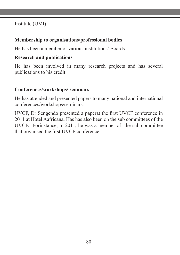Institute (UMI)

# **Membership to organisations/professional bodies**

He has been a member of various institutions' Boards

## **Research and publications**

He has been involved in many research projects and has several publications to his credit.

## **Conferences/workshops/ seminars**

He has attended and presented papers to many national and international conferences/workshops/seminars.

UVCF, Dr Sengendo presented a paperat the first UVCF conference in 2011 at Hotel Aafricana. Has has also been on the sub committees of the UVCF. Forinstance, in 2011, he was a member of the sub committee that organised the first UVCF conference.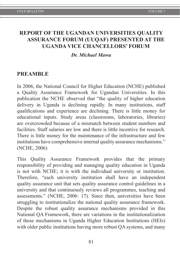# **REPORT OF THE UGANDAN UNIVERSITIES QUALITY ASSURANCE FORUM (UUQAF) PRESENTED AT THE UGANDA VICE CHANCELLORS' FORUM**

#### *Dr. Michael Mawa*

#### **PREAMBLE**

In 2006, the National Council for Higher Education (NCHE) published a Quality Assurance Framework for Ugandan Universities. In this publication the NCHE observed that "the quality of higher education delivery in Uganda is declining rapidly. In many institutions, staff qualifications and experience are declining. There is little money for educational inputs. Study areas (classrooms, laboratories, libraries) are overcrowded because of a mismatch between student numbers and facilities. Staff salaries are low and there is little incentive for research. There is little money for the maintenance of the infrastructure and few institutions have comprehensive internal quality assurance mechanisms." (NCHE, 2006)

This Quality Assurance Framework provides that the primary responsibility of providing and managing quality education in Uganda is not with NCHE; it is with the individual university or institution. Therefore, "each university institution shall have an independent quality assurance unit that sets quality assurance control guidelines in a university and that continuously reviews all programmes, teaching and assessments." (NCHE, 2006: 17). Since then, universities have been struggling to institutionalize the national quality assurance framework. Despite the robust quality assurance mechanisms provided in this National QA Framework, there are variations in the institutionalization of these mechanisms in Uganda Higher Education Institutions (HEIs) with older public institutions having more robust QA systems, and many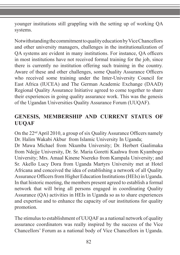younger institutions still grappling with the setting up of working QA systems.

Notwithstanding the commitment to quality education by Vice Chancellors and other university managers, challenges in the institutionalization of QA systems are evident in many institutions. For instance, QA officers in most institutions have not received formal training for the job, since there is currently no institution offering such training in the country. Aware of these and other challenges, some Quality Assurance Officers who received some training under the Inter-University Council for East Africa (IUCEA) and The German Academic Exchange (DAAD) Regional Quality Assurance Initiative agreed to come together to share their experiences in going quality assurance work. This was the genesis of the Ugandan Universities Quality Assurance Forum (UUQAF).

# **GENESIS, MEMBERSHIP AND CURRENT STATUS OF UUQAF**

On the 22nd April 2010, a group of six Quality Assurance Officers namely Dr. Halim Wakabi Akbur from Islamic University In Uganda;

Dr Mawa Michael from Nkumba University; Dr. Herbert Gaalimaka from Ndejje University, Dr. Sr. Maria Goretti Kaahwa from Kyambogo University; Mrs. Amaal Kinene Nsereko from Kampala University; and Sr. Akello Lucy Dora from Uganda Martyrs University met at Hotel Africana and conceived the idea of establishing a network of all Quality Assurance Officers from Higher Education Institutions (HEIs) in Uganda. In that historic meeting, the members present agreed to establish a formal network that will bring all persons engaged in coordinating Quality Assurance (QA) activities in HEIs in Uganda so as to share experiences and expertise and to enhance the capacity of our institutions for quality promotion.

The stimulus to establishment of UUQAF as a national network of quality assurance coordinators was really inspired by the success of the Vice Chancellors' Forum as a national body of Vice Chancellors in Uganda.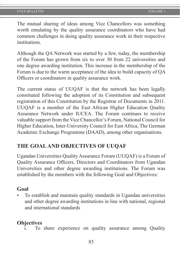The mutual sharing of ideas among Vice Chancellors was something worth emulating by the quality assurance coordinators who have had common challenges in doing quality assurance work in their respective institutions.

Although the QA Network was started by a few, today, the membership of the Forum has grown from six to over 30 from 22 universities and one degree awarding institution. This increase in the membership of the Forum is due to the warm acceptance of the idea to build capacity of QA Officers or coordinators in quality assurance work.

The current status of UUQAF is that the network has been legally constituted following the adoption of its Constitution and subsequent registration of this Constitution by the Registrar of Documents in 2011. UUQAF is a member of the East African Higher Education Quality Assurance Network under IUCEA. The Forum continues to receive valuable support from the Vice Chancellor's Forum, National Council for Higher Education, Inter-University Council for East Africa, The German Academic Exchange Programme (DAAD), among other organisations.

## **THE GOAL AND OBJECTIVES OF UUQAF**

Ugandan Universities Quality Assurance Forum (UUQAF) is a Forum of Quality Assurance Officers, Directors and Coordinators from Ugandan Universities and other degree awarding institutions. The Forum was established by the members with the following Goal and Objectives:

#### **Goal**

• To establish and maintain quality standards in Ugandan universities and other degree awarding institutions in line with national, regional and international standards

#### **Objectives**

To share experience on quality assurance among Quality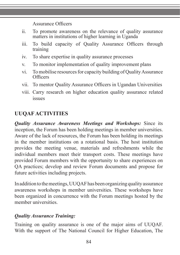Assurance Officers

- ii. To promote awareness on the relevance of quality assurance matters in institutions of higher learning in Uganda
- iii. To build capacity of Quality Assurance Officers through training
- iv. To share expertise in quality assurance processes
- v. To monitor implementation of quality improvement plans
- vi. To mobilise resources for capacity building of Quality Assurance **Officers**
- vii. To mentor Quality Assurance Officers in Ugandan Universities
- viii. Carry research on higher education quality assurance related issues

# **UUQAF ACTIVITIES**

*Quality Assurance Awareness Meetings and Workshops:* Since its inception, the Forum has been holding meetings in member universities. Aware of the lack of resources, the Forum has been holding its meetings in the member institutions on a rotational basis. The host institution provides the meeting venue, materials and refreshments while the individual members meet their transport costs. These meetings have provided Forum members with the opportunity to share experiences on QA practices; develop and review Forum documents and propose for future activities including projects.

In addition to the meetings, UUQAF has been organizing quality assurance awareness workshops in member universities. These workshops have been organized in concurrence with the Forum meetings hosted by the member universities.

# *Quality Assurance Training:*

Training on quality assurance is one of the major aims of UUQAF. With the support of The National Council for Higher Education, The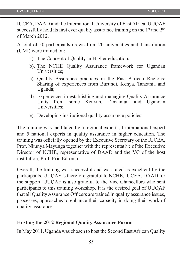IUCEA, DAAD and the International University of East Africa, UUQAF successfully held its first ever quality assurance training on the  $1<sup>st</sup>$  and  $2<sup>nd</sup>$ of March 2012.

A total of 50 participants drawn from 20 universities and 1 institution (UMI) were trained on:

- a). The Concept of Quality in Higher education;
- b). The NCHE Quality Assurance framework for Ugandan Universities;
- c). Quality Assurance practices in the East African Regions: Sharing of experiences from Burundi, Kenya, Tanzania and Uganda;
- d). Experiences in establishing and managing Quality Assurance some Kenyan, Tanzanian Universities;
- e). Developing institutional quality assurance policies

The training was facilitated by 5 regional experts, 1 international expert and 5 national experts in quality assurance in higher education. The training was officially opened by the Executive Secretary of the IUCEA, Prof. Nkunya Mayunga together with the representative of the Executive Director of NCHE, representative of DAAD and the VC of the host institution, Prof. Eric Edroma.

Overall, the training was successful and was rated as excellent by the participants. UUQAF is therefore grateful to NCHE, IUCEA, DAAD for the support. UUQAF is also grateful to the Vice Chancellors who sent participants to this training workshop. It is the desired goal of UUQAF that all Quality Assurance Officers are trained in quality assurance issues, processes, approaches to enhance their capacity in doing their work of quality assurance.

#### **Hosting the 2012 Regional Quality Assurance Forum**

In May 2011, Uganda was chosen to host the Second East African Quality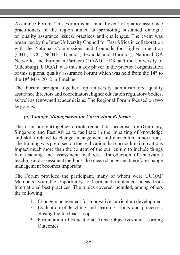Assurance Forum. This Forum is an annual event of quality assurance practitioners in the region aimed at promoting sustained dialogue on quality assurance issues, practices and challenges. The event was organized by the Inter-University Council for East Africa in collaboration with the National Commissions and Councils for Higher Education (CHE, TCU, NCHE –Uganda, Rwanda and Burundi), National QA Networks and European Partners (DAAD, HRK and the University of Oldenburg). UUQAF was thus a key player in the practical organization of this regional quality assurance Forum which was held from the  $14<sup>th</sup>$  to the 18<sup>th</sup> May 2012 in Entebbe.

The Forum brought together top university administrators, quality assurance directors and coordinators, higher education regulatory bodies, as well as renowned academicians. The Regional Forum focused on two key areas:

# *(a) Change Management for Curriculum Reforms*

The forum brought together top notch education specialists from Germany, Singapore and East Africa to facilitate in the imparting of knowledge and skills related to change management and curriculum innovations. The training was premised on the realization that curriculum innovations impact much more than the content of the curriculum to include things like teaching and assessment methods. Introduction of innovative teaching and assessment methods also mean change and therefore change management becomes important.

The Forum provided the participant, many of whom were UUQAF Members, with the opportunity to learn and implement ideas from international best practices. The topics covered included, among others the following:

- 1. Change management for innovative curriculum development
- 2. Evaluation of teaching and learning: Tools and processes, closing the feedback loop
- 3. Formulation of Educational Aims, Objectives and Learning **Outcomes**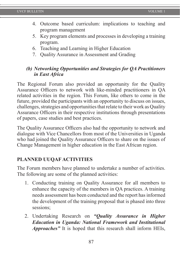- 4. Outcome based curriculum: implications to teaching and program management
- 5. Key program elements and processes in developing a training program.
- 6. Teaching and Learning in Higher Education
- 7. Quality Assurance in Assessment and Grading

### *(b) Networking Opportunities and Strategies for QA Practitioners in East Africa*

The Regional Forum also provided an opportunity for the Quality Assurance Officers to network with like-minded practitioners in QA related activities in the region. This Forum, like others to come in the future, provided the participants with an opportunity to discuss on issues, challenges, strategies and opportunities that relate to their work as Quality Assurance Officers in their respective institutions through presentations of papers, case studies and best practices.

The Quality Assurance Officers also had the opportunity to network and dialogue with Vice Chancellors from most of the Universities in Uganda who had joined the Quality Assurance Officers to share on the issues of Change Management in higher education in the East African region.

### **PLANNED UUQAF ACTIVITIES**

The Forum members have planned to undertake a number of activities. The following are some of the planned activities:

- 1. Conducting training on Quality Assurance for all members to enhance the capacity of the members in QA practices. A training needs assessment has been conducted and the report has informed the development of the training proposal that is phased into three sessions:
- 2. Undertaking Research on *"Quality Assurance in Higher Education in Uganda: National Framework and Institutional Approaches"* It is hoped that this research shall inform HEIs,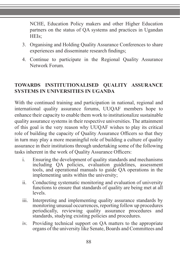NCHE, Education Policy makers and other Higher Education partners on the status of QA systems and practices in Ugandan HEIs;

- 3. Organising and Holding Quality Assurance Conferences to share experiences and disseminate research findings;
- 4. Continue to participate in the Regional Quality Assurance Network Forum.

# **TOWARDS INSTITUTIONALISED QUALITY ASSURANCE SYSTEMS IN UNIVERSITIES IN UGANDA**

With the continued training and participation in national, regional and international quality assurance forums, UUQAF members hope to enhance their capacity to enable them work to institutionalize sustainable quality assurance systems in their respective universities. The attainment of this goal is the very reason why UUQAF wishes to play its critical role of building the capacity of Quality Assurance Officers so that they in turn may play a more meaningful role of building a culture of quality assurance in their institutions through undertaking some of the following tasks inherent in the work of Quality Assurance Officers:

- i. Ensuring the development of quality standards and mechanisms including QA policies, evaluation guidelines, assessment tools, and operational manuals to guide QA operations in the implementing units within the university;
- ii. Conducting systematic monitoring and evaluation of university functions to ensure that standards of quality are being met at all levels.
- iii. Interpreting and implementing quality assurance standards by monitoring unusual occurrences, reporting follow up procedures periodically, reviewing quality assurance procedures and standards, studying existing policies and procedures.
- iv. Providing technical support on QA matters to the appropriate organs of the university like Senate, Boards and Committees and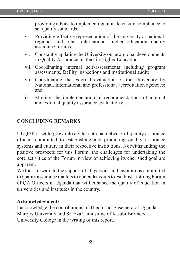providing advice to implementing units to ensure compliance to set quality standards.

- v. Providing effective representation of the university at national, regional and other international higher education quality assurance forums.
- vi. Constantly updating the University on new global developments in Quality Assurance matters in Higher Education.
- vii. Coordinating internal self-assessments including program assessments, facility inspections and institutional audit;
- viii. Coordinating the external evaluation of the University by National, International and professional accreditation agencies; and
- ix. Monitor the implementation of recommendations of internal and external quality assurance evaluations;

### **CONCLUDING REMARKS**

UUQAF is set to grow into a vital national network of quality assurance officers committed to establishing and promoting quality assurance systems and culture in their respective institutions. Notwithstanding the positive prospects for this Forum, the challenges for undertaking the core activities of the Forum in view of achieving its cherished goal are apparent.

We look forward to the support of all persons and institutions committed to quality assurance matters to our endeavours to establish a strong Forum of QA Officers in Uganda that will enhance the quality of education in universities and institutes in the country.

#### **Acknowledgements**

I acknowledge the contributions of Theopistar Basemera of Uganda Martyrs University and Sr. Eva Tumusiime of Kisubi Brothers University College in the writing of this report.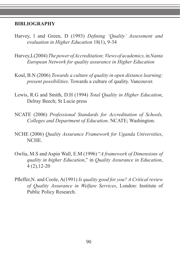#### **BIBLIOGRAPHY**

- Harvey, l and Green, D (1993) *Defining 'Quality' Assessment and evaluation in Higher Education* 18(1), 9-34
- Harvey,L(2004) *The power of Accreditation; Views of academics,* in *Nanta European Network for quality assurance in Higher Education*
- Koul, B.N (2006) *Towards a culture of quality in open distance learning: present possibilities*. Towards a culture of quality. Vancouver.
- Lewis, R.G and Smith, D.H (1994) *Total Quality in Higher Education*, Delray Beech; St Lucie press
- NCATE (2006) *Professional Standards for Accreditation of Schools, Colleges and Department of Education*. NCATE; Washington.
- NCHE (2006) *Quality Assurance Framework for Uganda Universities*, **NCHE**
- Owlia, M.S and Aspin Wall, E.M (1996) "*A framework of Dimensions of quality in higher Education*," in *Quality Assurance in Education*, 4 (2),12-20
- Pfleffer,N. and Coole, A(1991) *Is quality good for you? A Critical review of Quality Assurance in Welfare Services*, London: Institute of Public Policy Research.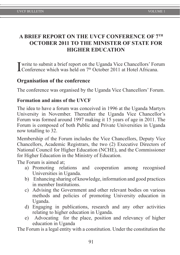# **A BRIEF REPORT ON THE UVCF CONFERENCE OF 7TH OCTOBER 2011 TO THE MINISTER OF STATE FOR HIGHER EDUCATION**

I write to submit a brief report on the Uganda Vice Chancellors' Forum Conference which was held on 7<sup>th</sup> October 2011 at Hotel Africana.

### **Organisation of the conference**

The conference was organised by the Uganda Vice Chancellors' Forum.

#### **Formation and aims of the UVCF**

The idea to have a forum was conceived in 1996 at the Uganda Martyrs University in November. Thereafter the Uganda Vice Chancellor's Forum was formed around 1997 making it 15 years of age in 2011. The Forum is composed of both Public and Private Universities in Uganda now totalling to 32.

Membership of the Forum includes the Vice Chancellors, Deputy Vice Chancellors, Academic Registrars, the two (2) Executive Directors of National Council for Higher Education (NCHE), and the Commissioner for Higher Education in the Ministry of Education.

The Forum is aimed at;

- a) Promoting relations and cooperation among recognised Universities in Uganda.
- b) Enhancing sharing of knowledge, information and good practices in member Institutions.
- c) Advising the Government and other relevant bodies on various methods and policies of promoting University education in Uganda.
- d) Engaging in publications, research and any other activities relating to higher education in Uganda.
- e) Advocating for the place, position and relevancy of higher education in Uganda

The Forum is a legal entity with a constitution. Under the constitution the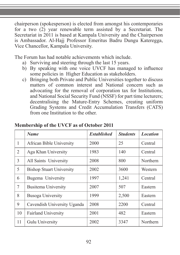chairperson (spokesperson) is elected from amongst his contemporaries for a two (2) year renewable term assisted by a Secretariat. The Secretariat in 2011 is based at Kampala University and the Chairperson is Ambassador. Al-Hajj Professor Emeritus Badru Dungu Kateregga, Vice Chancellor, Kampala University.

The Forum has had notable achievements which include.

- a) Surviving and steering through the last 15 years.
- b) By speaking with one voice UVCF has managed to influence some policies in Higher Education as stakeholders.
- c) Bringing both Private and Public Universities together to discuss matters of common interest and National concern such as advocating for the removal of corporation tax for Institutions, and National Social Security Fund (NSSF) for part time lecturers; decentralising the Mature-Entry Schemes, creating uniform Grading Systems and Credit Accumulation Transfers (CATS) from one Institution to the other.

|    | <b>Name</b>                     | <b>Established</b> | <b>Students</b> | <b>Location</b> |
|----|---------------------------------|--------------------|-----------------|-----------------|
| 1  | <b>African Bible University</b> | 2000               | 25              | Central         |
| 2  | Aga Khan University             | 1983               | 140             | Central         |
| 3  | All Saints University           | 2008               | 800             | <b>Northern</b> |
| 5  | <b>Bishop Stuart University</b> | 2002               | 3600            | Western         |
| 6  | Bugema University               | 1997               | 1,241           | Central         |
| 7  | <b>Busitema University</b>      | 2007               | 507             | Eastern         |
| 8  | Busoga University               | 1999               | 2,500           | Eastern         |
| 9  | Cavendish University Uganda     | 2008               | 2200            | Central         |
| 10 | <b>Fairland University</b>      | 2001               | 482             | Eastern         |
| 11 | Gulu University                 | 2002               | 3347            | Northern        |

#### **Membership of the UVCF as of October 2011**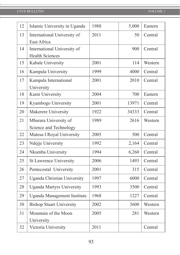#### UVCF BULLETIN VOLUME 1

| 12 | Islamic University in Uganda       | 1988 | 5,000 | Eastern |
|----|------------------------------------|------|-------|---------|
| 13 | International University of        | 2011 | 50    | Central |
|    | East Africa                        |      |       |         |
| 14 | International University of        |      | 900   | Central |
|    | <b>Health Sciences</b>             |      |       |         |
| 15 | Kabale University                  | 2001 | 114   | Western |
| 16 | Kampala University                 | 1999 | 4000  | Central |
| 17 | Kampala International              | 2001 | 2010  | Central |
|    | University                         |      |       |         |
| 18 | Kumi University                    | 2004 | 700   | Eastern |
| 19 | Kyambogo University                | 2001 | 13971 | Central |
| 20 | Makerere University                | 1922 | 34333 | Central |
| 21 | Mbarara University of              | 1989 | 2616  | Western |
|    | Science and Technology             |      |       |         |
| 22 | Mutesa I Royal University          | 2005 | 500   | Central |
| 23 | Ndejje University                  | 1992 | 2,164 | Central |
| 24 | Nkumba University                  | 1994 | 6,260 | Central |
| 25 | St Lawrence University             | 2006 | 1493  | Central |
| 26 | Pentecostal University             | 2001 | 315   | Central |
| 27 | Uganda Christian University        | 1997 | 6000  | Central |
| 28 | <b>Uganda Martyrs University</b>   | 1993 | 3500  | Central |
| 29 | <b>Uganda Management Institute</b> | 1968 | 1227  | Central |
| 30 | <b>Bishop Stuart University</b>    | 2002 | 3600  | Western |
| 31 | Mountain of the Moon               | 2005 | 281   | Western |
|    | University                         |      |       |         |
| 32 | Victoria University                | 2011 |       | Central |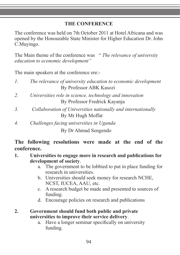## **THE CONFERENCE**

The conference was held on 7th October 2011 at Hotel Africana and was opened by the Honourable State Minister for Higher Education Dr. John C.Muyingo.

The Main theme of the conference was " *The relevance of university education to economic development"*

The main speakers at the conference ere:-

- *1. The relevance of university education to economic development* By Professor ABK Kasozi
- *2. Universities role in science, technology and innovation* By Professor Fredrick Kayanja
- *3. Collaboration of Universities nationally and internationally* By Mr Hugh Moffat
- *4. Challenges facing universities in Uganda*

By Dr Ahmad Sengendo

**The following resolutions were made at the end of the conference.**

- **1. Universities to engage more in research and publications for development of society**.
	- a. The government to be lobbied to put in place funding for research in universities.
	- b. Universities should seek money for research NCHE, NCST, IUCEA, AAU, etc.
	- c. A research budget be made and presented to sources of funding.
	- d. Encourage policies on research and publications
- **2. Government should fund both public and private universities to improve their service delivery**.
	- a. Have a longer seminar specifically on university funding.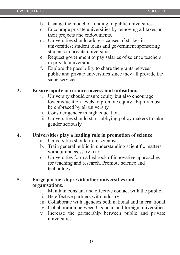- b. Change the model of funding to public universities.
- c. Encourage private universities by removing all taxes on their projects and endowments.
- d. Universities should address causes of strikes in universities; student loans and government sponsoring students in private universities
- e. Request government to pay salaries of science teachers in private universities
- f. Explore the possibility to share the grants between public and private universities since they all provide the same services.

### **3. Ensure equity in resource access and utilisation.**

- i. University should ensure equity but also encourage lower education levels to promote equity. Equity must be embraced by all university.
- ii. Consider gender in high education.
- iii. Universities should start lobbying policy makers to take gender seriously.

### **4. Universities play a leading role in promotion of science**.

- a. Universities should train scientists.
- b. Train general public in understanding scientific matters without unnecessary fear.
- c. Universities form a bed rock of innovative approaches for teaching and research. Promote science and technology.

#### **5. Forge partnerships with other universities and organisations**.

- i. Maintain constant and effective contact with the public.
- ii. Be effective partners with industry
- iii. Collaborate with agencies both national and international
- iv. Collaboration between Ugandan and foreign universities
- v. Increase the partnership between public and private universities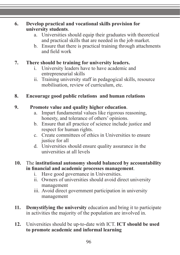## **6. Develop practical and vocational skills provision for university students**.

- a. Universities should equip their graduates with theoretical and practical skills that are needed in the job market.
- b. Ensure that there is practical training through attachments and field work

# **7. There should be training for university leaders.**

- i. University leaders have to have academic and entrepreneurial skills
- ii. Training university staff in pedagogical skills, resource mobilisation, review of curriculum, etc.

# **8. Encourage good public relations and human relations**

# **9. Promote value and quality higher education**.

- a. Impart fundamental values like rigorous reasoning, honesty, and tolerance of others' opinions.
- b. Ensure that all practice of science include justice and respect for human rights.
- c. Create committees of ethics in Universities to ensure justice for all
- d. Universities should ensure quality assurance in the universities at all levels

## **10.** The **institutional autonomy should balanced by accountability in financial and academic processes management**.

- i. Have good governance in Universities.
- ii. Owners of universities should avoid direct university management
- iii. Avoid direct government participation in university management
- **11. Demystifying the university** education and bring it to participate in activities the majority of the population are involved in.
- **12.** Universities should be up-to-date with ICT. **ICT should be used to promote academic and informal learning**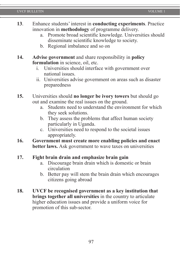- 
- **13**. Enhance students' interest in **conducting experiments**. Practice innovation in **methodology** of programme delivery.
	- a. Promote broad scientific knowledge. Universities should disseminate scientific knowledge to society.
	- b. Regional imbalance and so on
- **14. Advise government** and share responsibility in **policy formulation** in science, oil, etc.
	- i. Universities should interface with government over national issues.
	- ii. Universities advise government on areas such as disaster preparedness
- **15.** Universities should **no longer be ivory towers** but should go out and examine the real issues on the ground.
	- a. Students need to understand the environment for which they seek solutions.
	- b. They assess the problems that affect human society particularly in Uganda.
	- c. Universities need to respond to the societal issues appropriately.
- **16. Government must create more enabling policies and enact better laws.** Ask government to wave taxes on universities

#### **17. Fight brain drain and emphasize brain gain**

- a. Discourage brain drain which is domestic or brain circulation
- b. Better pay will stem the brain drain which encourages citizens going abroad
- **18. UVCF be recognised government as a key institution that brings together all universities** in the country to articulate higher education issues and provide a uniform voice for promotion of this sub-sector.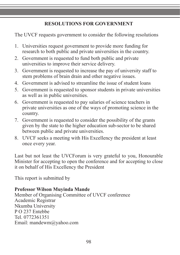# **RESOLUTIONS FOR GOVERNMENT**

The UVCF requests government to consider the following resolutions

- 1. Universities request government to provide more funding for research to both public and private universities in the country.
- 2. Government is requested to fund both public and private universities to improve their service delivery.
- 3. Government is requested to increase the pay of university staff to stem problems of brain drain and other negative issues.
- 4. Government is advised to streamline the issue of student loans
- 5. Government is requested to sponsor students in private universities as well as in public universities.
- 6. Government is requested to pay salaries of science teachers in private universities as one of the ways of promoting science in the country.
- 7. Government is requested to consider the possibility of the grants given by the state to the higher education sub-sector to be shared between public and private universities.
- 8. UVCF seeks a meeting with His Excellency the president at least once every year.

Last but not least the UVCForum is very grateful to you, Honourable Minister for accepting to open the conference and for accepting to close it on behalf of His Excellency the President

This report is submitted by

## **Professor Wilson Muyinda Mande**

Member of Organising Committee of UVCF conference Academic Registrar Nkumba University P O 237 Entebbe Tel. 0772361351 Email: mandewm@yahoo.com